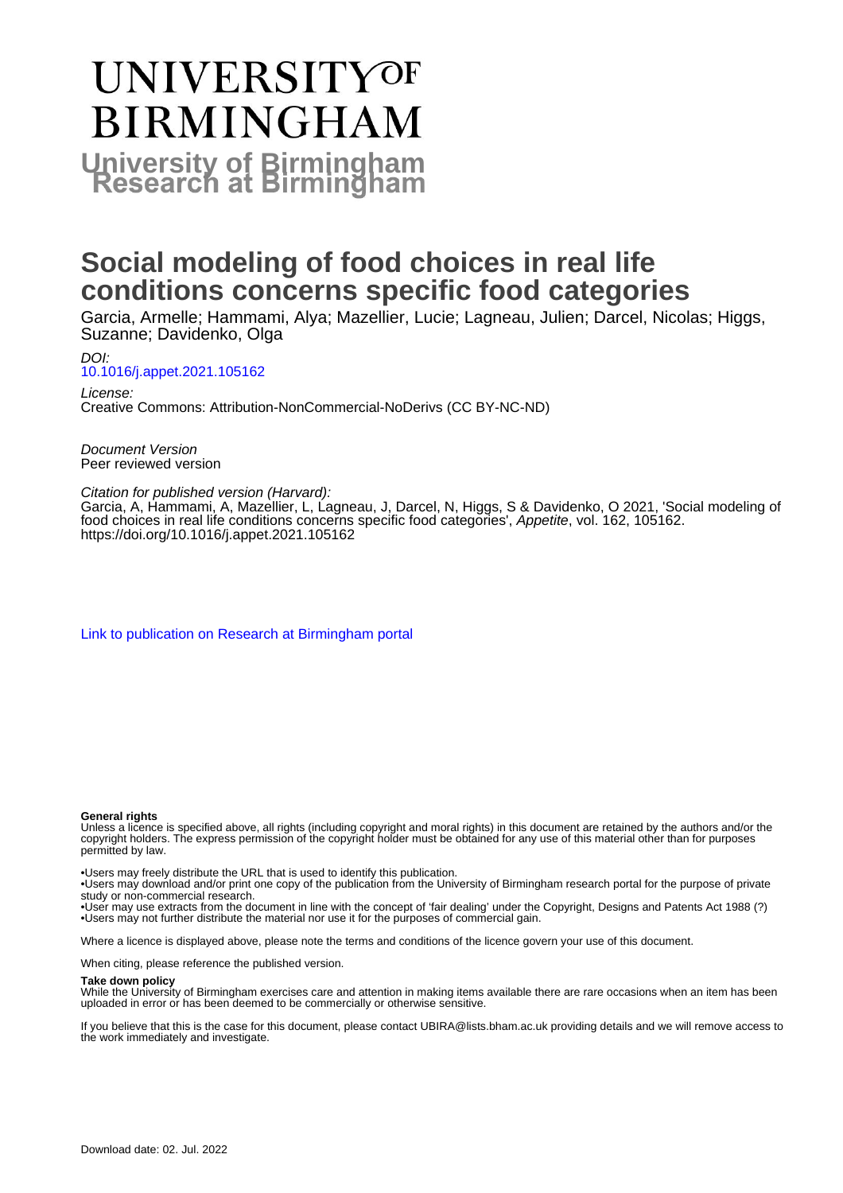# **UNIVERSITYOF BIRMINGHAM University of Birmingham**

# **Social modeling of food choices in real life conditions concerns specific food categories**

Garcia, Armelle; Hammami, Alya; Mazellier, Lucie; Lagneau, Julien; Darcel, Nicolas; Higgs, Suzanne; Davidenko, Olga

DOI: [10.1016/j.appet.2021.105162](https://doi.org/10.1016/j.appet.2021.105162)

License: Creative Commons: Attribution-NonCommercial-NoDerivs (CC BY-NC-ND)

Document Version Peer reviewed version

#### Citation for published version (Harvard):

Garcia, A, Hammami, A, Mazellier, L, Lagneau, J, Darcel, N, Higgs, S & Davidenko, O 2021, 'Social modeling of food choices in real life conditions concerns specific food categories', Appetite, vol. 162, 105162. <https://doi.org/10.1016/j.appet.2021.105162>

[Link to publication on Research at Birmingham portal](https://birmingham.elsevierpure.com/en/publications/92bf032e-d22f-4841-b360-d9d4fcbf05b0)

#### **General rights**

Unless a licence is specified above, all rights (including copyright and moral rights) in this document are retained by the authors and/or the copyright holders. The express permission of the copyright holder must be obtained for any use of this material other than for purposes permitted by law.

• Users may freely distribute the URL that is used to identify this publication.

• Users may download and/or print one copy of the publication from the University of Birmingham research portal for the purpose of private study or non-commercial research.

• User may use extracts from the document in line with the concept of 'fair dealing' under the Copyright, Designs and Patents Act 1988 (?) • Users may not further distribute the material nor use it for the purposes of commercial gain.

Where a licence is displayed above, please note the terms and conditions of the licence govern your use of this document.

When citing, please reference the published version.

#### **Take down policy**

While the University of Birmingham exercises care and attention in making items available there are rare occasions when an item has been uploaded in error or has been deemed to be commercially or otherwise sensitive.

If you believe that this is the case for this document, please contact UBIRA@lists.bham.ac.uk providing details and we will remove access to the work immediately and investigate.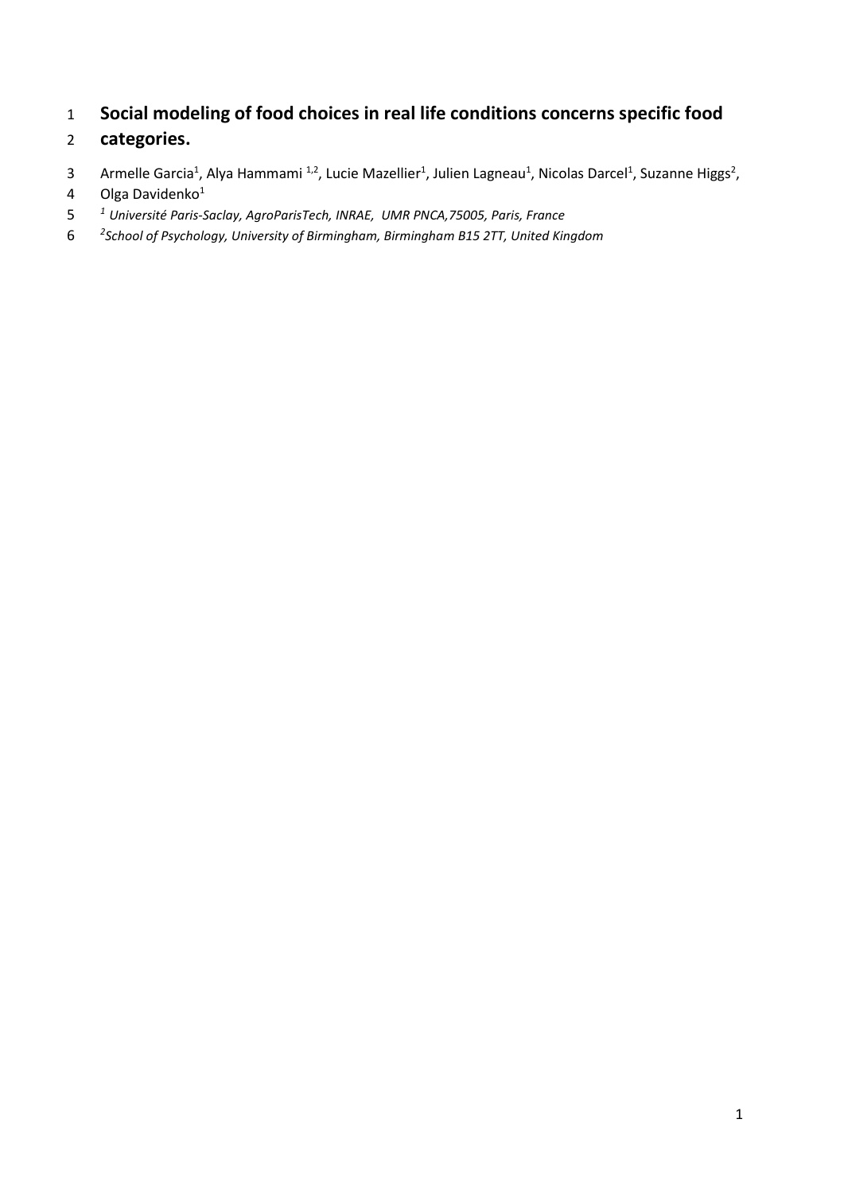# **Social modeling of food choices in real life conditions concerns specific food**

### **categories.**

3 Armelle Garcia<sup>1</sup>, Alya Hammami <sup>1,2</sup>, Lucie Mazellier<sup>1</sup>, Julien Lagneau<sup>1</sup>, Nicolas Darcel<sup>1</sup>, Suzanne Higgs<sup>2</sup>,

- 4 Olga Davidenko<sup>1</sup>
- *<sup>1</sup> Université Paris-Saclay, AgroParisTech, INRAE, UMR PNCA,75005, Paris, France*
- *<sup>2</sup> School of Psychology, University of Birmingham, Birmingham B15 2TT, United Kingdom*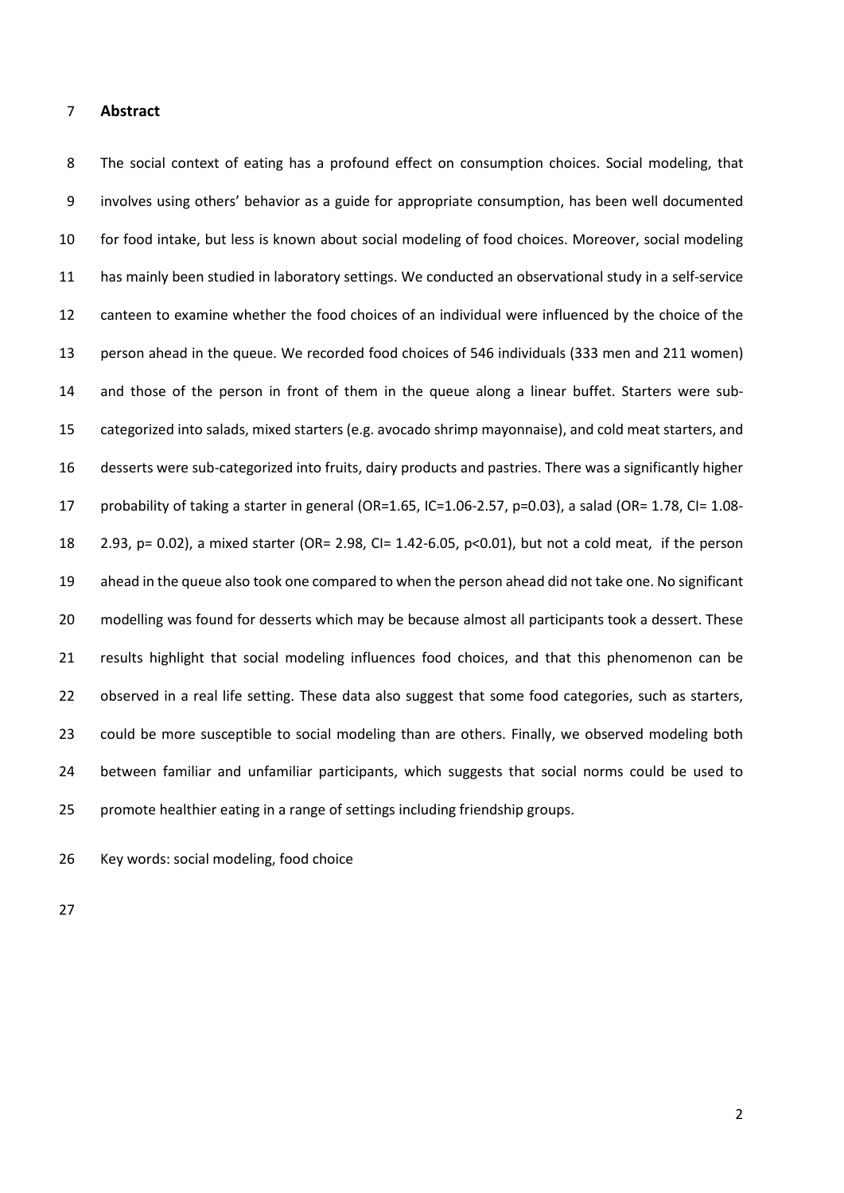#### **Abstract**

 The social context of eating has a profound effect on consumption choices. Social modeling, that involves using others' behavior as a guide for appropriate consumption, has been well documented for food intake, but less is known about social modeling of food choices. Moreover, social modeling has mainly been studied in laboratory settings. We conducted an observational study in a self-service canteen to examine whether the food choices of an individual were influenced by the choice of the person ahead in the queue. We recorded food choices of 546 individuals (333 men and 211 women) and those of the person in front of them in the queue along a linear buffet. Starters were sub- categorized into salads, mixed starters (e.g. avocado shrimp mayonnaise), and cold meat starters, and desserts were sub-categorized into fruits, dairy products and pastries. There was a significantly higher 17 probability of taking a starter in general (OR=1.65, IC=1.06-2.57, p=0.03), a salad (OR= 1.78, CI= 1.08- 2.93, p= 0.02), a mixed starter (OR= 2.98, CI= 1.42-6.05, p<0.01), but not a cold meat, if the person ahead in the queue also took one compared to when the person ahead did not take one. No significant modelling was found for desserts which may be because almost all participants took a dessert. These results highlight that social modeling influences food choices, and that this phenomenon can be 22 observed in a real life setting. These data also suggest that some food categories, such as starters, 23 could be more susceptible to social modeling than are others. Finally, we observed modeling both between familiar and unfamiliar participants, which suggests that social norms could be used to promote healthier eating in a range of settings including friendship groups.

Key words: social modeling, food choice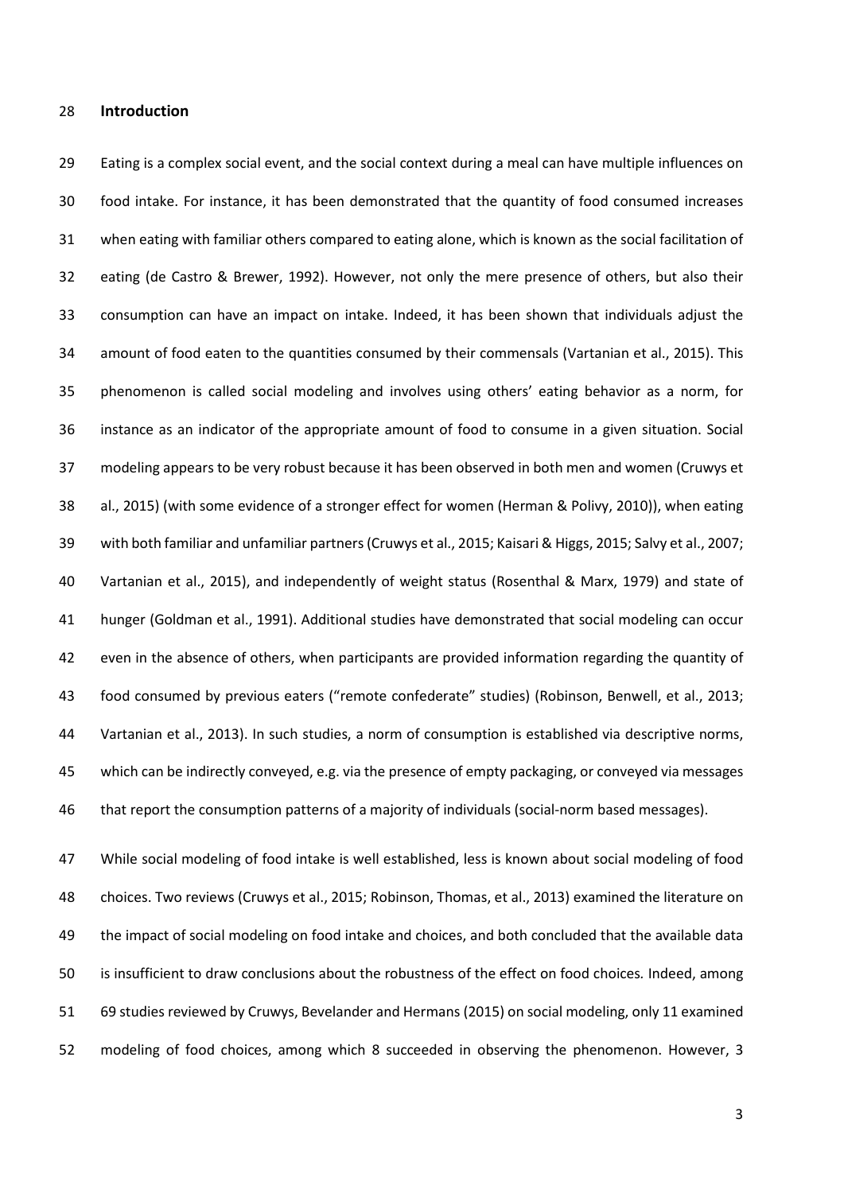#### **Introduction**

 Eating is a complex social event, and the social context during a meal can have multiple influences on food intake. For instance, it has been demonstrated that the quantity of food consumed increases when eating with familiar others compared to eating alone, which is known as the social facilitation of eating (de Castro & Brewer, 1992). However, not only the mere presence of others, but also their consumption can have an impact on intake. Indeed, it has been shown that individuals adjust the amount of food eaten to the quantities consumed by their commensals (Vartanian et al., 2015). This phenomenon is called social modeling and involves using others' eating behavior as a norm, for instance as an indicator of the appropriate amount of food to consume in a given situation. Social modeling appears to be very robust because it has been observed in both men and women (Cruwys et al., 2015) (with some evidence of a stronger effect for women (Herman & Polivy, 2010)), when eating with both familiar and unfamiliar partners(Cruwys et al., 2015; Kaisari & Higgs, 2015; Salvy et al., 2007; Vartanian et al., 2015), and independently of weight status (Rosenthal & Marx, 1979) and state of hunger (Goldman et al., 1991). Additional studies have demonstrated that social modeling can occur even in the absence of others, when participants are provided information regarding the quantity of food consumed by previous eaters ("remote confederate" studies) (Robinson, Benwell, et al., 2013; Vartanian et al., 2013). In such studies, a norm of consumption is established via descriptive norms, which can be indirectly conveyed, e.g. via the presence of empty packaging, or conveyed via messages that report the consumption patterns of a majority of individuals (social-norm based messages).

 While social modeling of food intake is well established, less is known about social modeling of food choices. Two reviews (Cruwys et al., 2015; Robinson, Thomas, et al., 2013) examined the literature on the impact of social modeling on food intake and choices, and both concluded that the available data is insufficient to draw conclusions about the robustness of the effect on food choices*.* Indeed, among 69 studies reviewed by Cruwys, Bevelander and Hermans (2015) on social modeling, only 11 examined modeling of food choices, among which 8 succeeded in observing the phenomenon. However, 3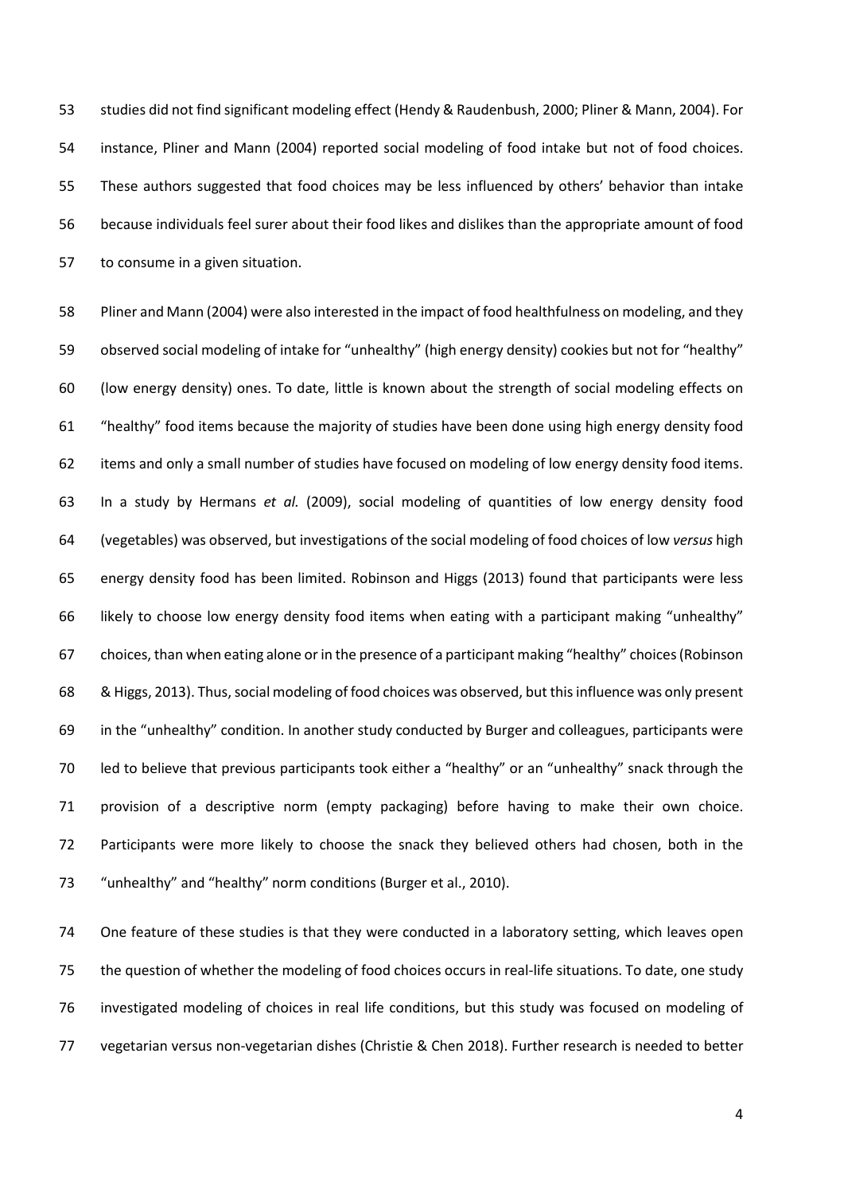studies did not find significant modeling effect (Hendy & Raudenbush, 2000; Pliner & Mann, 2004). For instance, Pliner and Mann (2004) reported social modeling of food intake but not of food choices. These authors suggested that food choices may be less influenced by others' behavior than intake because individuals feel surer about their food likes and dislikes than the appropriate amount of food to consume in a given situation.

 Pliner and Mann (2004) were also interested in the impact of food healthfulness on modeling, and they observed social modeling of intake for "unhealthy" (high energy density) cookies but not for "healthy" (low energy density) ones. To date, little is known about the strength of social modeling effects on "healthy" food items because the majority of studies have been done using high energy density food items and only a small number of studies have focused on modeling of low energy density food items. In a study by Hermans *et al.* (2009), social modeling of quantities of low energy density food (vegetables) was observed, but investigations of the social modeling of food choices of low *versus* high energy density food has been limited. Robinson and Higgs (2013) found that participants were less likely to choose low energy density food items when eating with a participant making "unhealthy" choices, than when eating alone or in the presence of a participant making "healthy" choices (Robinson & Higgs, 2013). Thus, social modeling of food choices was observed, but this influence was only present in the "unhealthy" condition. In another study conducted by Burger and colleagues, participants were led to believe that previous participants took either a "healthy" or an "unhealthy" snack through the provision of a descriptive norm (empty packaging) before having to make their own choice. Participants were more likely to choose the snack they believed others had chosen, both in the "unhealthy" and "healthy" norm conditions (Burger et al., 2010).

 One feature of these studies is that they were conducted in a laboratory setting, which leaves open the question of whether the modeling of food choices occurs in real-life situations. To date, one study investigated modeling of choices in real life conditions, but this study was focused on modeling of vegetarian versus non-vegetarian dishes (Christie & Chen 2018). Further research is needed to better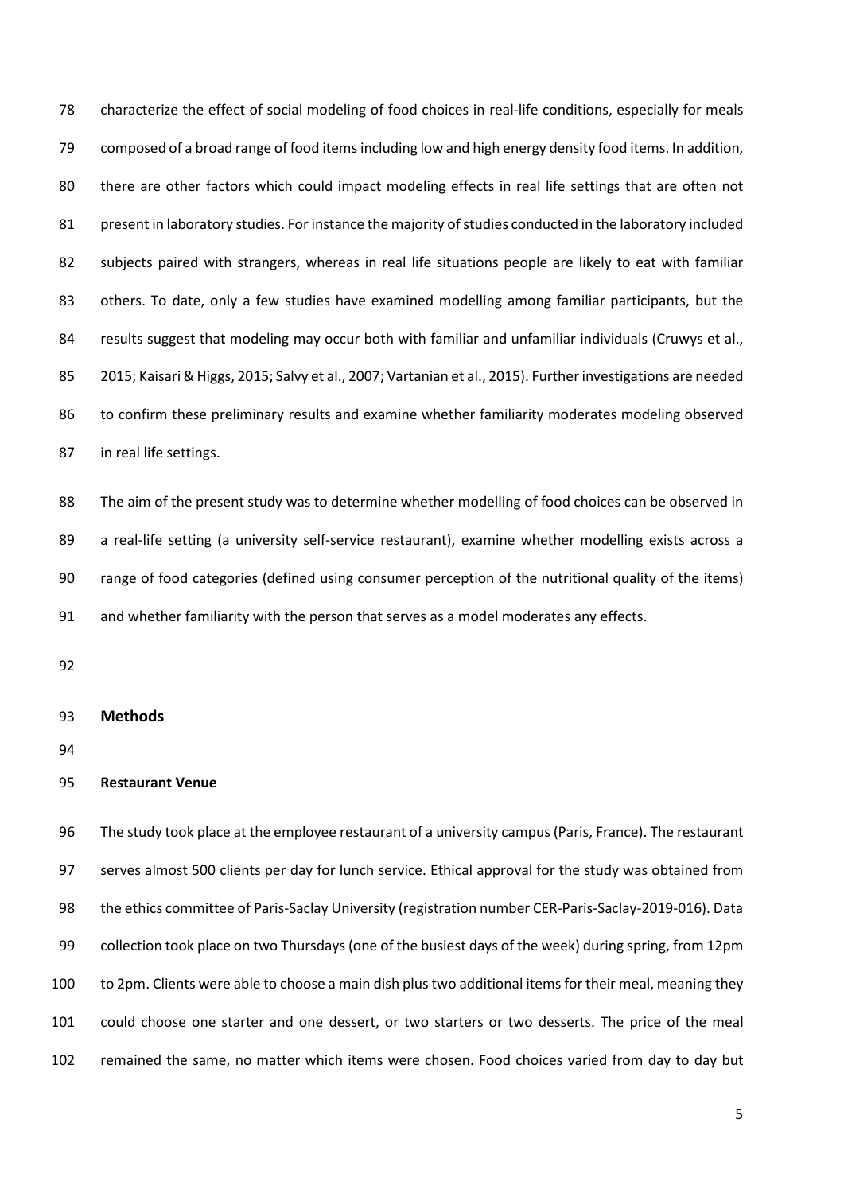characterize the effect of social modeling of food choices in real-life conditions, especially for meals composed of a broad range of food items including low and high energy density food items. In addition, there are other factors which could impact modeling effects in real life settings that are often not 81 present in laboratory studies. For instance the majority of studies conducted in the laboratory included subjects paired with strangers, whereas in real life situations people are likely to eat with familiar 83 others. To date, only a few studies have examined modelling among familiar participants, but the 84 results suggest that modeling may occur both with familiar and unfamiliar individuals (Cruwys et al., 2015; Kaisari & Higgs, 2015; Salvy et al., 2007; Vartanian et al., 2015). Further investigations are needed to confirm these preliminary results and examine whether familiarity moderates modeling observed in real life settings.

 The aim of the present study was to determine whether modelling of food choices can be observed in a real-life setting (a university self-service restaurant), examine whether modelling exists across a range of food categories (defined using consumer perception of the nutritional quality of the items) and whether familiarity with the person that serves as a model moderates any effects.

#### **Methods**

#### **Restaurant Venue**

 The study took place at the employee restaurant of a university campus (Paris, France). The restaurant serves almost 500 clients per day for lunch service. Ethical approval for the study was obtained from the ethics committee of Paris-Saclay University (registration number CER-Paris-Saclay-2019-016). Data collection took place on two Thursdays (one of the busiest days of the week) during spring, from 12pm to 2pm. Clients were able to choose a main dish plus two additional items for their meal, meaning they could choose one starter and one dessert, or two starters or two desserts. The price of the meal remained the same, no matter which items were chosen. Food choices varied from day to day but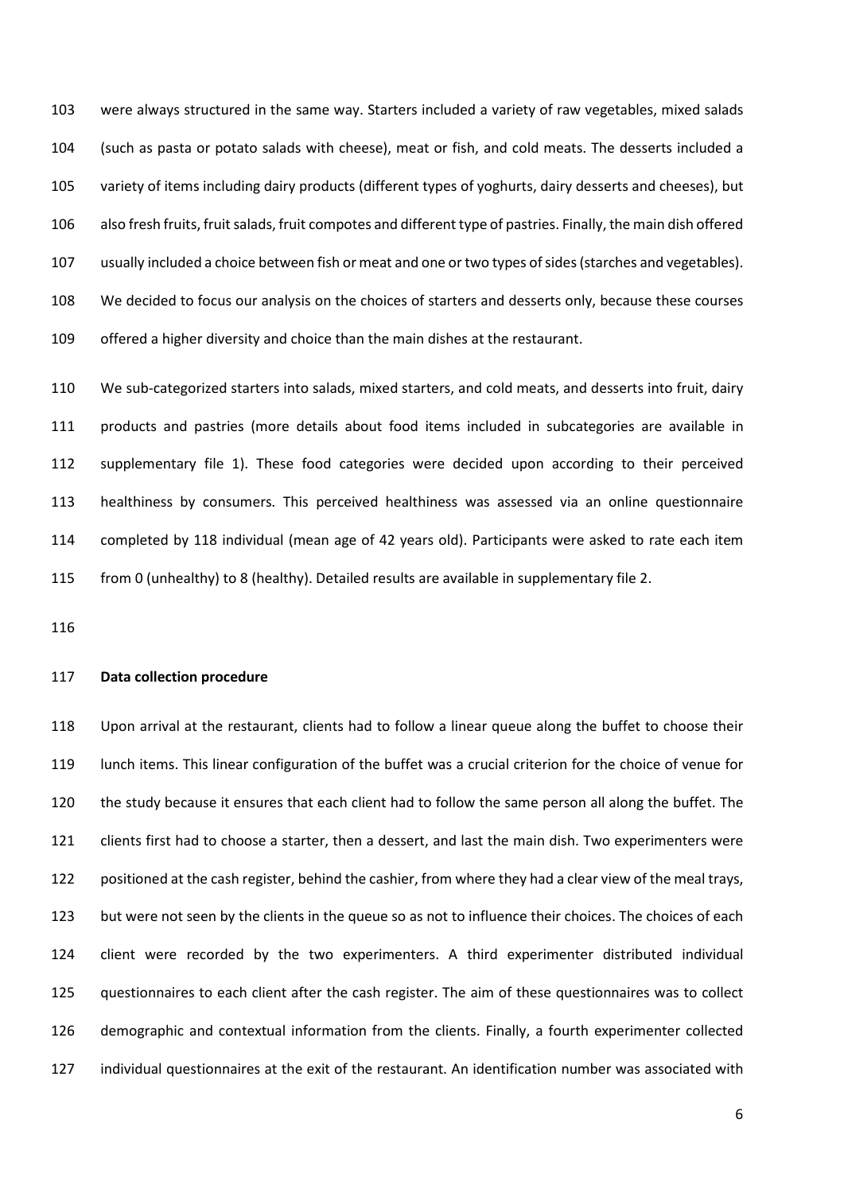were always structured in the same way. Starters included a variety of raw vegetables, mixed salads (such as pasta or potato salads with cheese), meat or fish, and cold meats. The desserts included a variety of items including dairy products (different types of yoghurts, dairy desserts and cheeses), but 106 also fresh fruits, fruit salads, fruit compotes and different type of pastries. Finally, the main dish offered usually included a choice between fish or meat and one or two types of sides (starches and vegetables). We decided to focus our analysis on the choices of starters and desserts only, because these courses offered a higher diversity and choice than the main dishes at the restaurant.

 We sub-categorized starters into salads, mixed starters, and cold meats, and desserts into fruit, dairy products and pastries (more details about food items included in subcategories are available in supplementary file 1). These food categories were decided upon according to their perceived healthiness by consumers. This perceived healthiness was assessed via an online questionnaire completed by 118 individual (mean age of 42 years old). Participants were asked to rate each item from 0 (unhealthy) to 8 (healthy). Detailed results are available in supplementary file 2.

#### **Data collection procedure**

 Upon arrival at the restaurant, clients had to follow a linear queue along the buffet to choose their lunch items. This linear configuration of the buffet was a crucial criterion for the choice of venue for the study because it ensures that each client had to follow the same person all along the buffet. The clients first had to choose a starter, then a dessert, and last the main dish. Two experimenters were positioned at the cash register, behind the cashier, from where they had a clear view of the meal trays, 123 but were not seen by the clients in the queue so as not to influence their choices. The choices of each client were recorded by the two experimenters. A third experimenter distributed individual questionnaires to each client after the cash register. The aim of these questionnaires was to collect demographic and contextual information from the clients. Finally, a fourth experimenter collected individual questionnaires at the exit of the restaurant. An identification number was associated with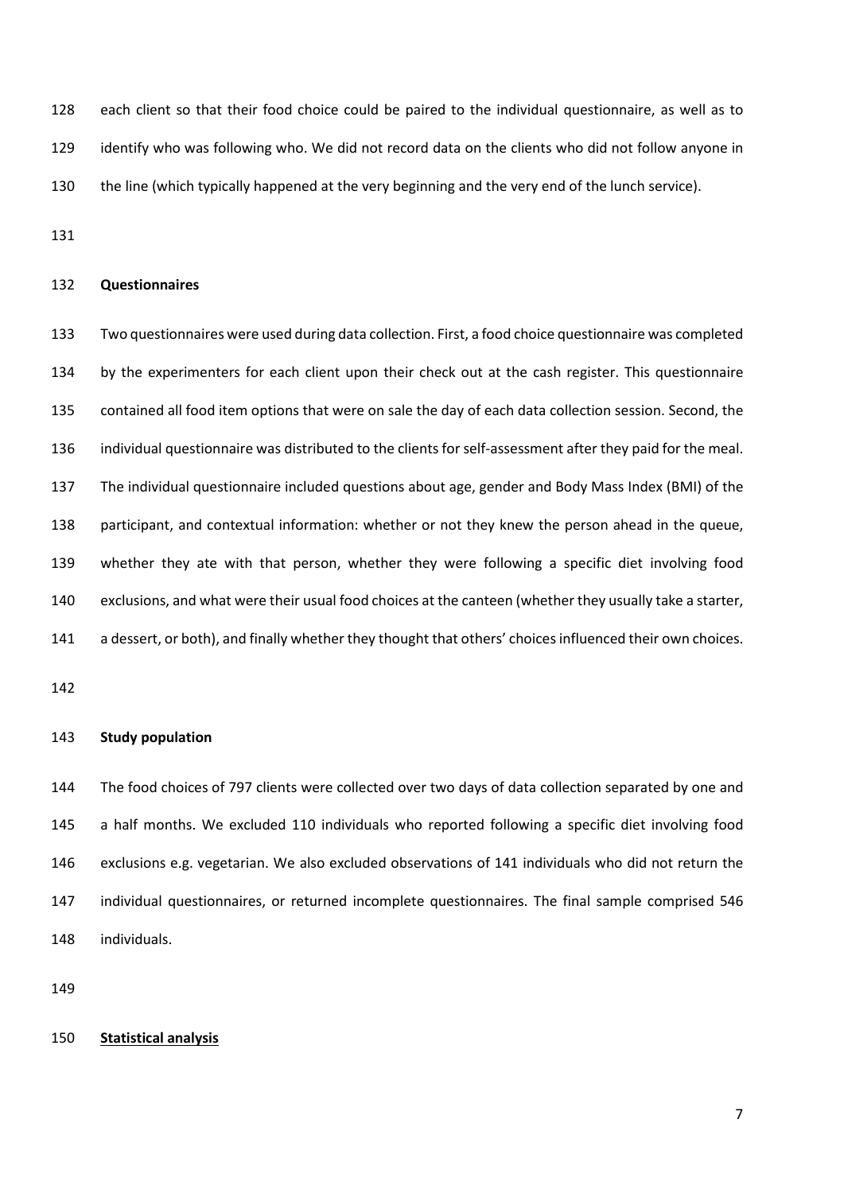each client so that their food choice could be paired to the individual questionnaire, as well as to identify who was following who. We did not record data on the clients who did not follow anyone in the line (which typically happened at the very beginning and the very end of the lunch service).

#### **Questionnaires**

 Two questionnaires were used during data collection. First, a food choice questionnaire was completed by the experimenters for each client upon their check out at the cash register. This questionnaire contained all food item options that were on sale the day of each data collection session. Second, the individual questionnaire was distributed to the clients for self-assessment after they paid for the meal. The individual questionnaire included questions about age, gender and Body Mass Index (BMI) of the participant, and contextual information: whether or not they knew the person ahead in the queue, whether they ate with that person, whether they were following a specific diet involving food exclusions, and what were their usual food choices at the canteen (whether they usually take a starter, a dessert, or both), and finally whether they thought that others' choices influenced their own choices.

#### **Study population**

 The food choices of 797 clients were collected over two days of data collection separated by one and a half months. We excluded 110 individuals who reported following a specific diet involving food exclusions e.g. vegetarian. We also excluded observations of 141 individuals who did not return the individual questionnaires, or returned incomplete questionnaires. The final sample comprised 546 individuals.

#### **Statistical analysis**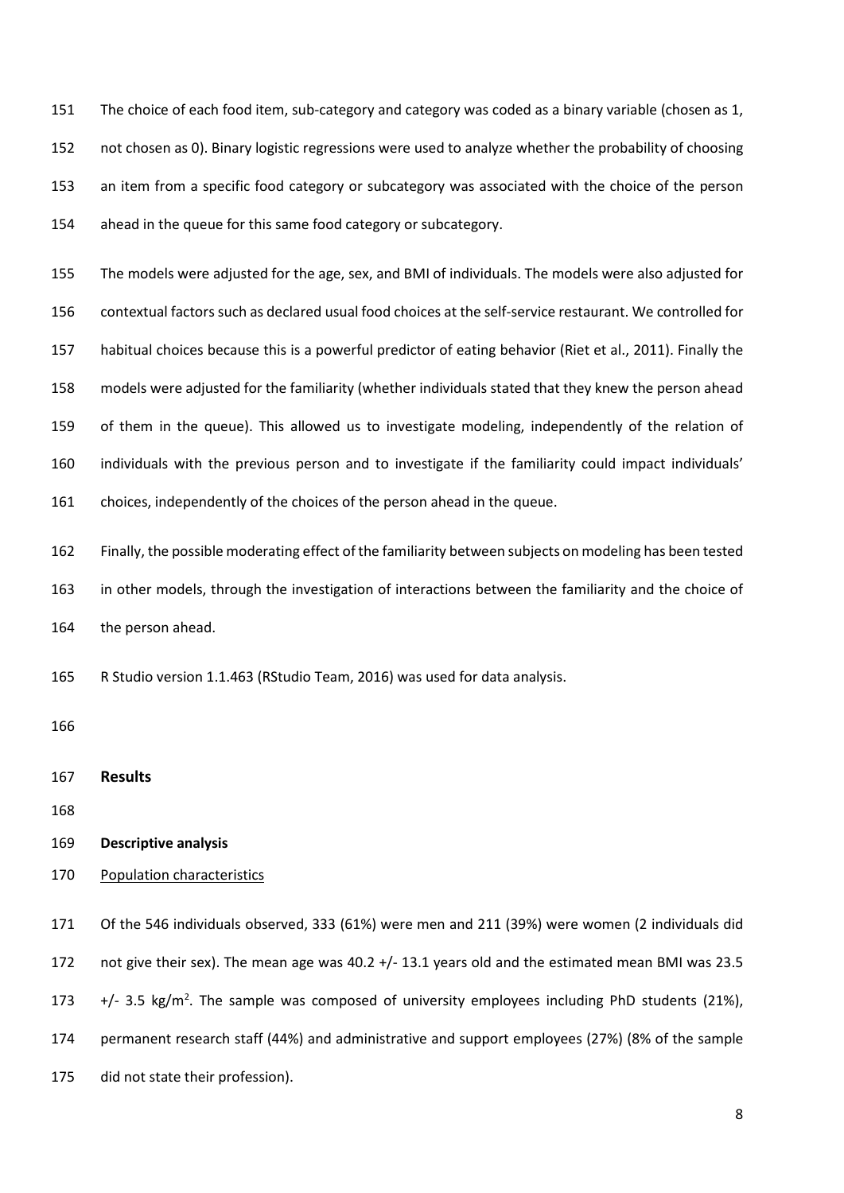The choice of each food item, sub-category and category was coded as a binary variable (chosen as 1, not chosen as 0). Binary logistic regressions were used to analyze whether the probability of choosing an item from a specific food category or subcategory was associated with the choice of the person ahead in the queue for this same food category or subcategory.

 The models were adjusted for the age, sex, and BMI of individuals. The models were also adjusted for contextual factors such as declared usual food choices at the self-service restaurant. We controlled for habitual choices because this is a powerful predictor of eating behavior (Riet et al., 2011). Finally the models were adjusted for the familiarity (whether individuals stated that they knew the person ahead of them in the queue). This allowed us to investigate modeling, independently of the relation of individuals with the previous person and to investigate if the familiarity could impact individuals' choices, independently of the choices of the person ahead in the queue.

 Finally, the possible moderating effect of the familiarity between subjects on modeling has been tested in other models, through the investigation of interactions between the familiarity and the choice of the person ahead.

R Studio version 1.1.463 (RStudio Team, 2016) was used for data analysis.

**Results**

- **Descriptive analysis**
- 170 Population characteristics

 Of the 546 individuals observed, 333 (61%) were men and 211 (39%) were women (2 individuals did not give their sex). The mean age was 40.2 +/- 13.1 years old and the estimated mean BMI was 23.5  $+/- 3.5$  kg/m<sup>2</sup>. The sample was composed of university employees including PhD students (21%), permanent research staff (44%) and administrative and support employees (27%) (8% of the sample did not state their profession).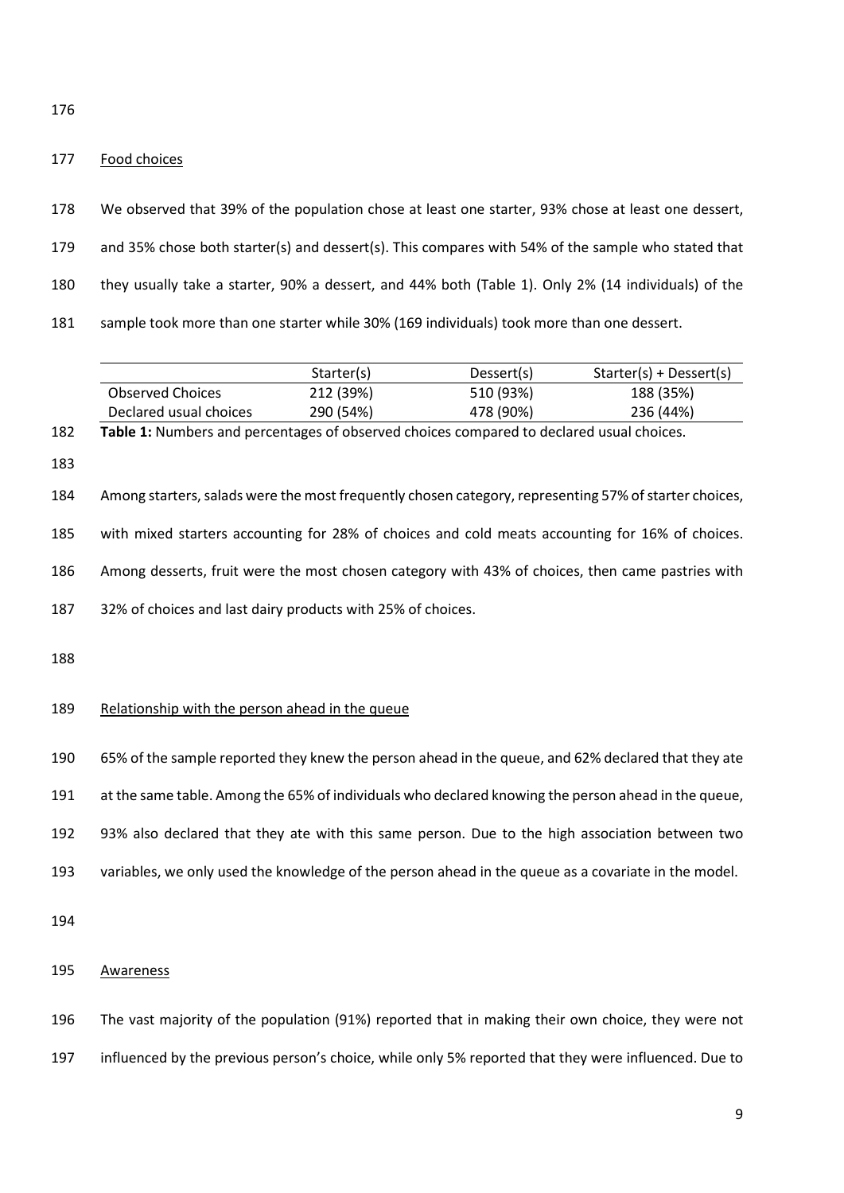#### 177 Food choices

| 178 | We observed that 39% of the population chose at least one starter, 93% chose at least one dessert,  |
|-----|-----------------------------------------------------------------------------------------------------|
| 179 | and 35% chose both starter(s) and dessert(s). This compares with 54% of the sample who stated that  |
| 180 | they usually take a starter, 90% a dessert, and 44% both (Table 1). Only 2% (14 individuals) of the |
| 181 | sample took more than one starter while 30% (169 individuals) took more than one dessert.           |

|                        | Starter(s) | Dessert(s) | Starter(s) + Dessert(s) |
|------------------------|------------|------------|-------------------------|
| Observed Choices       | 212 (39%)  | 510 (93%)  | 188 (35%)               |
| Declared usual choices | 290 (54%)  | 478 (90%)  | 236 (44%)               |

| 182 | Table 1: Numbers and percentages of observed choices compared to declared usual choices.              |
|-----|-------------------------------------------------------------------------------------------------------|
| 183 |                                                                                                       |
| 184 | Among starters, salads were the most frequently chosen category, representing 57% of starter choices, |
| 185 | with mixed starters accounting for 28% of choices and cold meats accounting for 16% of choices.       |
| 186 | Among desserts, fruit were the most chosen category with 43% of choices, then came pastries with      |
| 187 | 32% of choices and last dairy products with 25% of choices.                                           |
| 188 |                                                                                                       |
| 189 | Relationship with the person ahead in the queue                                                       |
| 190 | 65% of the sample reported they knew the person ahead in the queue, and 62% declared that they ate    |
| 191 | at the same table. Among the 65% of individuals who declared knowing the person ahead in the queue,   |
| 192 | 93% also declared that they ate with this same person. Due to the high association between two        |
|     |                                                                                                       |
| 193 | variables, we only used the knowledge of the person ahead in the queue as a covariate in the model.   |

Awareness

The vast majority of the population (91%) reported that in making their own choice, they were not

influenced by the previous person's choice, while only 5% reported that they were influenced. Due to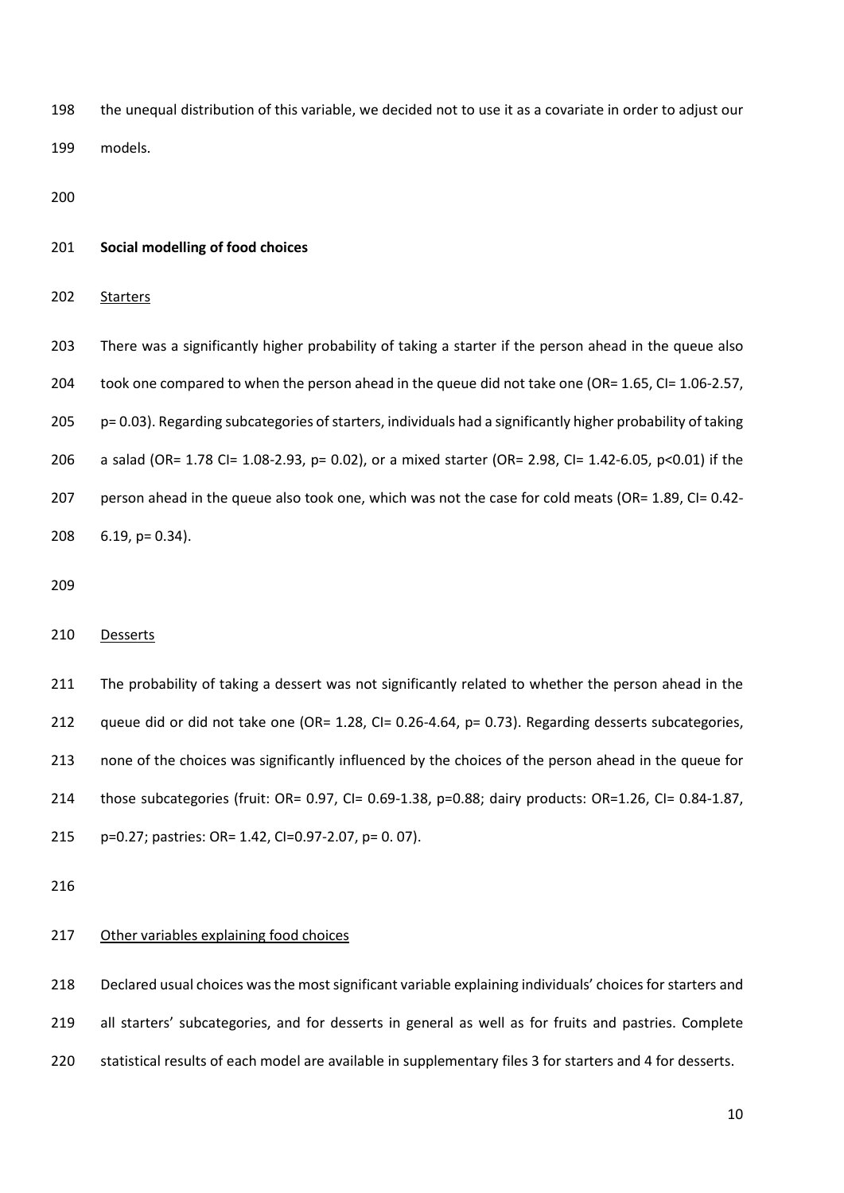the unequal distribution of this variable, we decided not to use it as a covariate in order to adjust our models.

#### **Social modelling of food choices**

202 Starters

 There was a significantly higher probability of taking a starter if the person ahead in the queue also 204 took one compared to when the person ahead in the queue did not take one (OR= 1.65, CI= 1.06-2.57, p= 0.03). Regarding subcategories of starters, individuals had a significantly higher probability of taking a salad (OR= 1.78 CI= 1.08-2.93, p= 0.02), or a mixed starter (OR= 2.98, CI= 1.42-6.05, p<0.01) if the person ahead in the queue also took one, which was not the case for cold meats (OR= 1.89, CI= 0.42- 6.19, p= 0.34).

#### Desserts

211 The probability of taking a dessert was not significantly related to whether the person ahead in the 212 queue did or did not take one (OR= 1.28, CI= 0.26-4.64, p= 0.73). Regarding desserts subcategories, none of the choices was significantly influenced by the choices of the person ahead in the queue for those subcategories (fruit: OR= 0.97, CI= 0.69-1.38, p=0.88; dairy products: OR=1.26, CI= 0.84-1.87, p=0.27; pastries: OR= 1.42, CI=0.97-2.07, p= 0. 07).

#### 217 Other variables explaining food choices

 Declared usual choices was the most significant variable explaining individuals' choices for starters and 219 all starters' subcategories, and for desserts in general as well as for fruits and pastries. Complete statistical results of each model are available in supplementary files 3 for starters and 4 for desserts.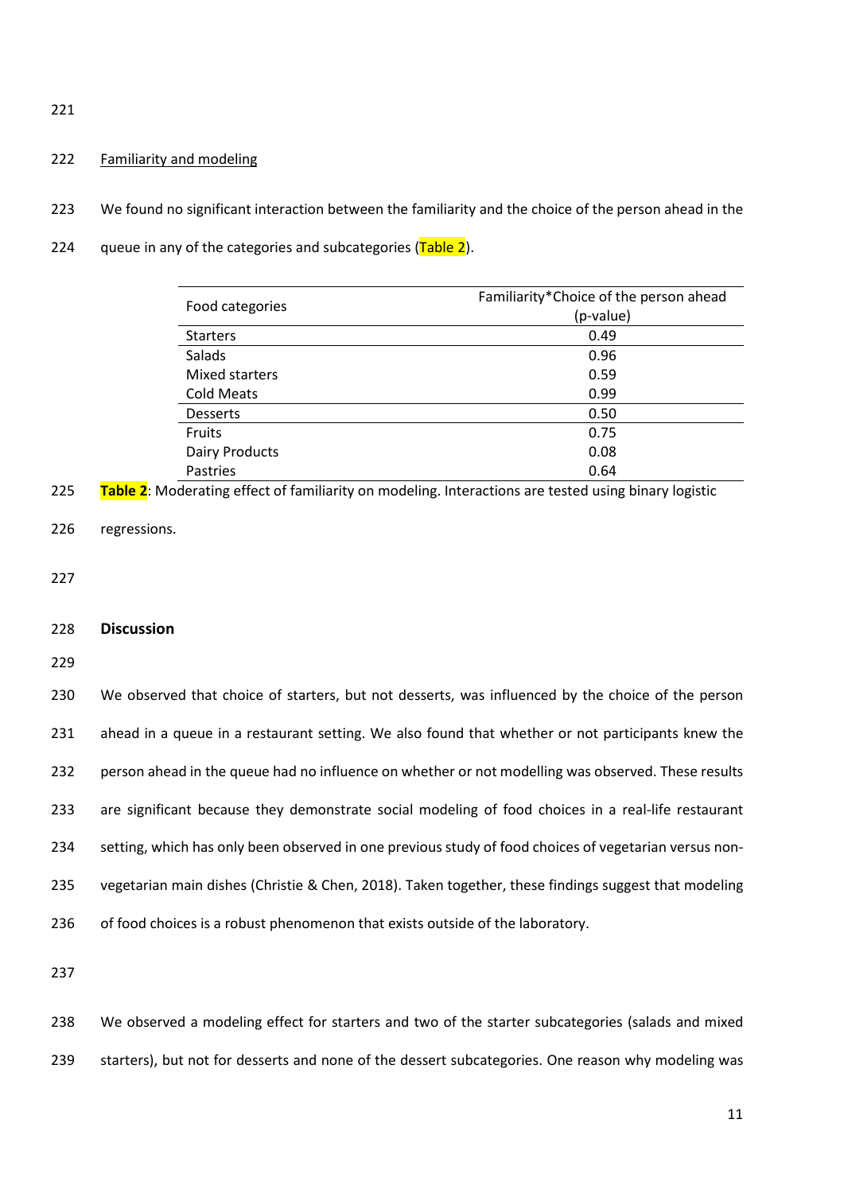221

#### 222 Familiarity and modeling

- 223 We found no significant interaction between the familiarity and the choice of the person ahead in the
- 224 gueue in any of the categories and subcategories  $(Table 2)$ .

|                       | Familiarity*Choice of the person ahead |
|-----------------------|----------------------------------------|
| Food categories       | (p-value)                              |
| <b>Starters</b>       | 0.49                                   |
| Salads                | 0.96                                   |
| Mixed starters        | 0.59                                   |
| <b>Cold Meats</b>     | 0.99                                   |
| <b>Desserts</b>       | 0.50                                   |
| <b>Fruits</b>         | 0.75                                   |
| <b>Dairy Products</b> | 0.08                                   |
| Pastries              | 0.64                                   |

- 225 **Table 2**: Moderating effect of familiarity on modeling. Interactions are tested using binary logistic
- 226 regressions.

227

#### 228 **Discussion**

229

 We observed that choice of starters, but not desserts, was influenced by the choice of the person ahead in a queue in a restaurant setting. We also found that whether or not participants knew the person ahead in the queue had no influence on whether or not modelling was observed. These results are significant because they demonstrate social modeling of food choices in a real-life restaurant setting, which has only been observed in one previous study of food choices of vegetarian versus non- vegetarian main dishes (Christie & Chen, 2018). Taken together, these findings suggest that modeling 236 of food choices is a robust phenomenon that exists outside of the laboratory.

237

238 We observed a modeling effect for starters and two of the starter subcategories (salads and mixed 239 starters), but not for desserts and none of the dessert subcategories. One reason why modeling was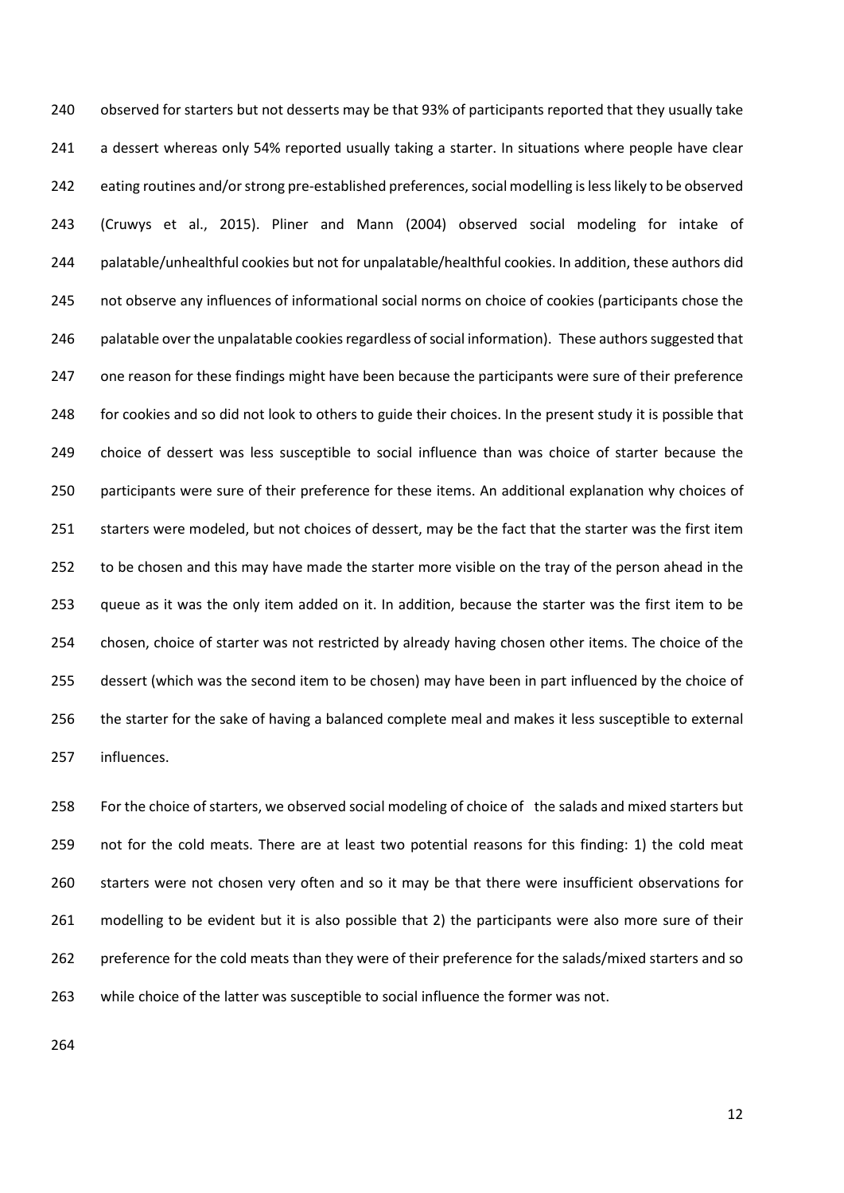observed for starters but not desserts may be that 93% of participants reported that they usually take 241 a dessert whereas only 54% reported usually taking a starter. In situations where people have clear 242 eating routines and/or strong pre-established preferences, social modelling is less likely to be observed (Cruwys et al., 2015). Pliner and Mann (2004) observed social modeling for intake of palatable/unhealthful cookies but not for unpalatable/healthful cookies. In addition, these authors did not observe any influences of informational social norms on choice of cookies (participants chose the 246 palatable over the unpalatable cookies regardless of social information). These authors suggested that one reason for these findings might have been because the participants were sure of their preference for cookies and so did not look to others to guide their choices. In the present study it is possible that choice of dessert was less susceptible to social influence than was choice of starter because the participants were sure of their preference for these items. An additional explanation why choices of starters were modeled, but not choices of dessert, may be the fact that the starter was the first item to be chosen and this may have made the starter more visible on the tray of the person ahead in the queue as it was the only item added on it. In addition, because the starter was the first item to be chosen, choice of starter was not restricted by already having chosen other items. The choice of the dessert (which was the second item to be chosen) may have been in part influenced by the choice of the starter for the sake of having a balanced complete meal and makes it less susceptible to external influences.

 For the choice of starters, we observed social modeling of choice of the salads and mixed starters but not for the cold meats. There are at least two potential reasons for this finding: 1) the cold meat starters were not chosen very often and so it may be that there were insufficient observations for 261 modelling to be evident but it is also possible that 2) the participants were also more sure of their preference for the cold meats than they were of their preference for the salads/mixed starters and so while choice of the latter was susceptible to social influence the former was not.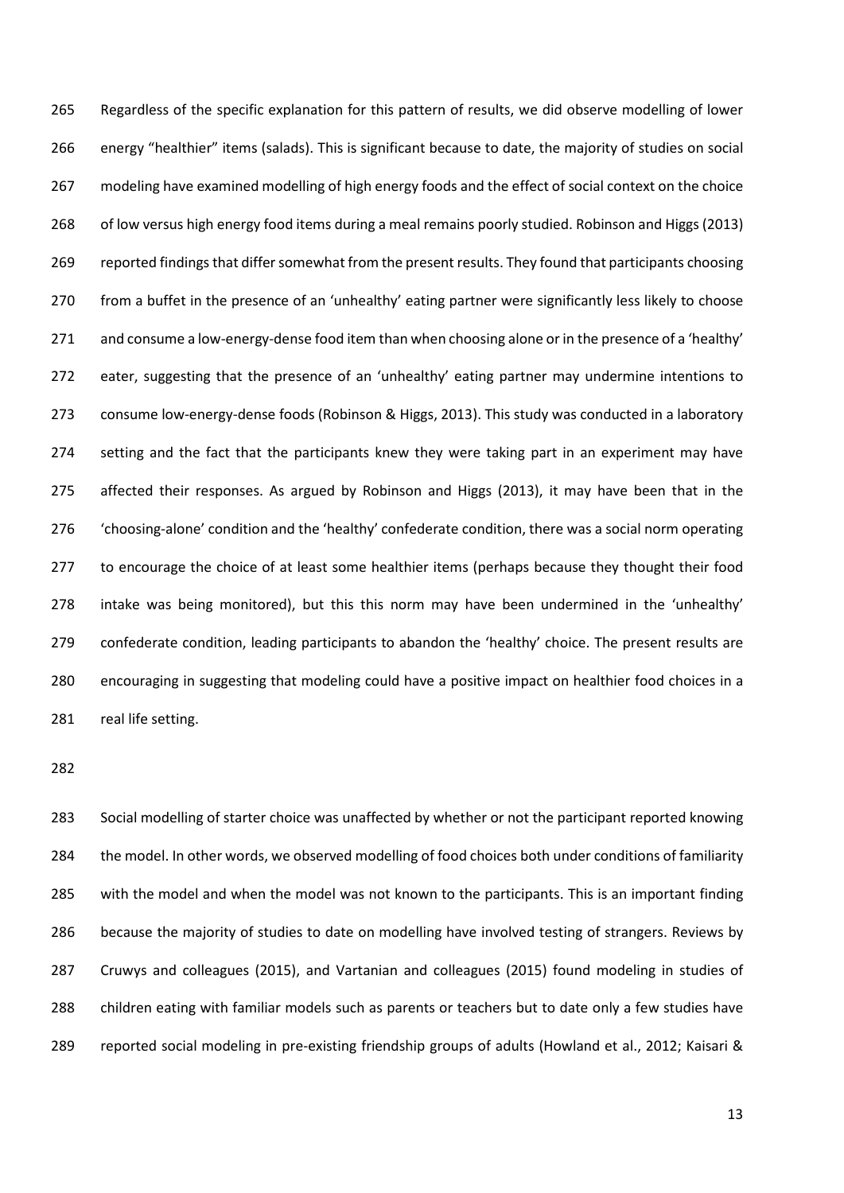Regardless of the specific explanation for this pattern of results, we did observe modelling of lower energy "healthier" items (salads). This is significant because to date, the majority of studies on social modeling have examined modelling of high energy foods and the effect of social context on the choice of low versus high energy food items during a meal remains poorly studied. Robinson and Higgs (2013) reported findings that differ somewhat from the present results. They found that participants choosing from a buffet in the presence of an 'unhealthy' eating partner were significantly less likely to choose 271 and consume a low-energy-dense food item than when choosing alone or in the presence of a 'healthy' eater, suggesting that the presence of an 'unhealthy' eating partner may undermine intentions to consume low-energy-dense foods (Robinson & Higgs, 2013). This study was conducted in a laboratory 274 setting and the fact that the participants knew they were taking part in an experiment may have affected their responses. As argued by Robinson and Higgs (2013), it may have been that in the 'choosing-alone' condition and the 'healthy' confederate condition, there was a social norm operating to encourage the choice of at least some healthier items (perhaps because they thought their food intake was being monitored), but this this norm may have been undermined in the 'unhealthy' confederate condition, leading participants to abandon the 'healthy' choice. The present results are encouraging in suggesting that modeling could have a positive impact on healthier food choices in a 281 real life setting.

 Social modelling of starter choice was unaffected by whether or not the participant reported knowing 284 the model. In other words, we observed modelling of food choices both under conditions of familiarity with the model and when the model was not known to the participants. This is an important finding because the majority of studies to date on modelling have involved testing of strangers. Reviews by Cruwys and colleagues (2015), and Vartanian and colleagues (2015) found modeling in studies of children eating with familiar models such as parents or teachers but to date only a few studies have reported social modeling in pre-existing friendship groups of adults (Howland et al., 2012; Kaisari &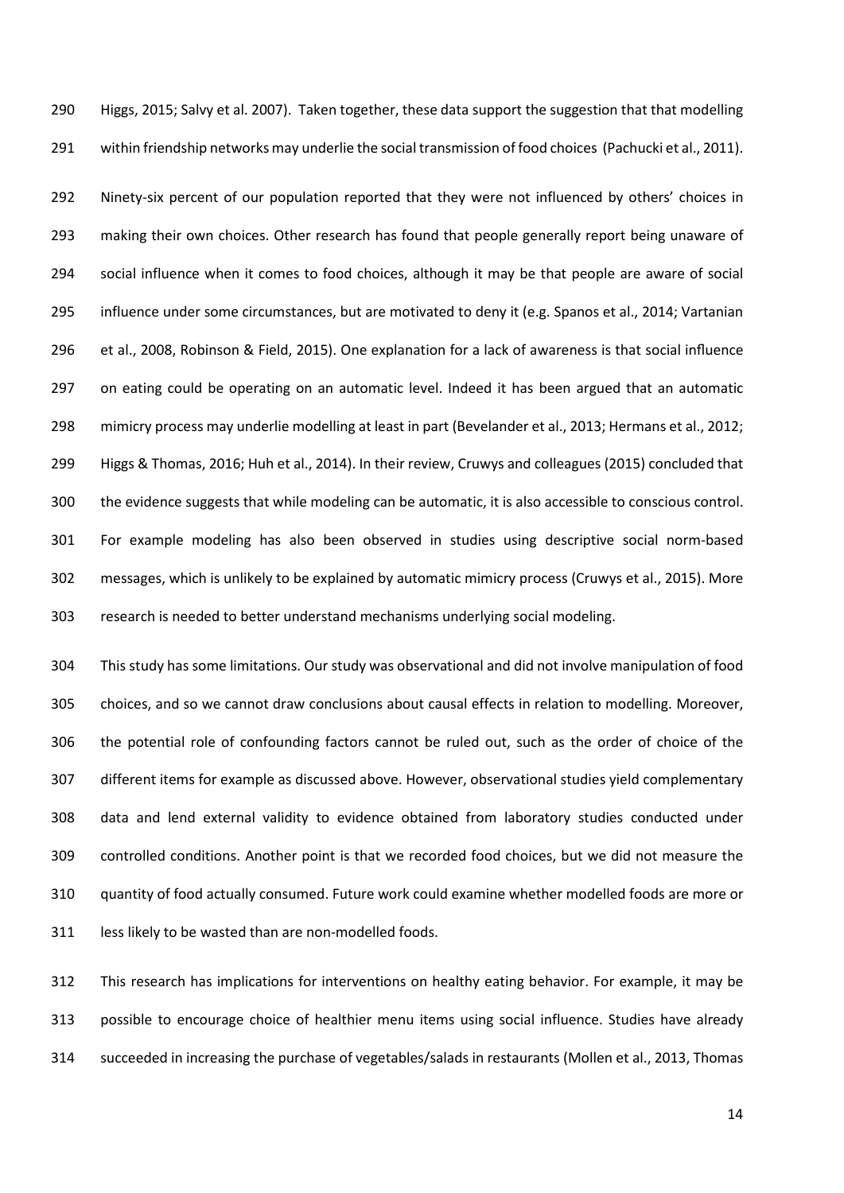Higgs, 2015; Salvy et al. 2007). Taken together, these data support the suggestion that that modelling within friendship networks may underlie the social transmission of food choices (Pachucki et al., 2011).

 Ninety-six percent of our population reported that they were not influenced by others' choices in making their own choices. Other research has found that people generally report being unaware of social influence when it comes to food choices, although it may be that people are aware of social influence under some circumstances, but are motivated to deny it (e.g. Spanos et al., 2014; Vartanian et al., 2008, Robinson & Field, 2015). One explanation for a lack of awareness is that social influence 297 on eating could be operating on an automatic level. Indeed it has been argued that an automatic mimicry process may underlie modelling at least in part (Bevelander et al., 2013; Hermans et al., 2012; Higgs & Thomas, 2016; Huh et al., 2014). In their review, Cruwys and colleagues (2015) concluded that the evidence suggests that while modeling can be automatic, it is also accessible to conscious control. For example modeling has also been observed in studies using descriptive social norm-based messages, which is unlikely to be explained by automatic mimicry process (Cruwys et al., 2015). More research is needed to better understand mechanisms underlying social modeling.

 This study has some limitations. Our study was observational and did not involve manipulation of food choices, and so we cannot draw conclusions about causal effects in relation to modelling. Moreover, the potential role of confounding factors cannot be ruled out, such as the order of choice of the different items for example as discussed above. However, observational studies yield complementary data and lend external validity to evidence obtained from laboratory studies conducted under controlled conditions. Another point is that we recorded food choices, but we did not measure the quantity of food actually consumed. Future work could examine whether modelled foods are more or 311 less likely to be wasted than are non-modelled foods.

 This research has implications for interventions on healthy eating behavior. For example, it may be possible to encourage choice of healthier menu items using social influence. Studies have already succeeded in increasing the purchase of vegetables/salads in restaurants (Mollen et al., 2013, Thomas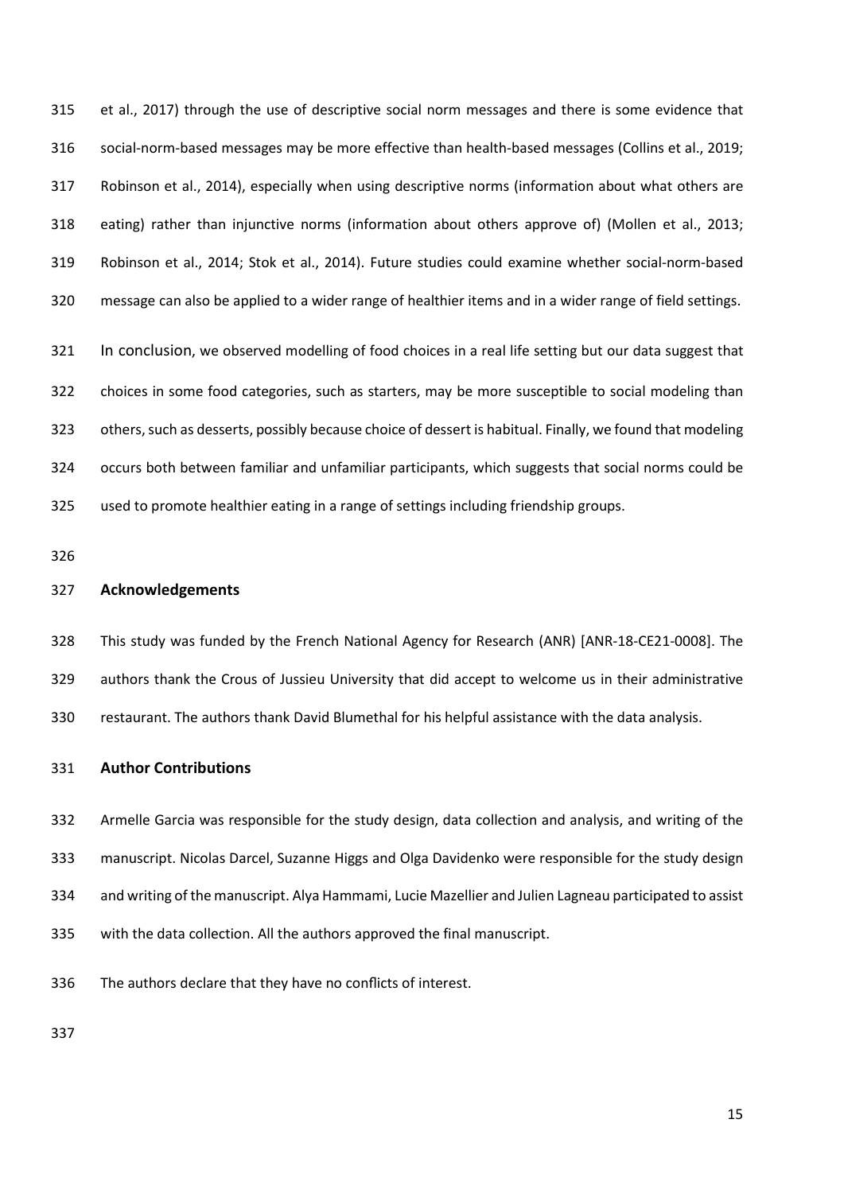et al., 2017) through the use of descriptive social norm messages and there is some evidence that social-norm-based messages may be more effective than health-based messages (Collins et al., 2019; Robinson et al., 2014), especially when using descriptive norms (information about what others are eating) rather than injunctive norms (information about others approve of) (Mollen et al., 2013; Robinson et al., 2014; Stok et al., 2014). Future studies could examine whether social-norm-based message can also be applied to a wider range of healthier items and in a wider range of field settings.

321 In conclusion, we observed modelling of food choices in a real life setting but our data suggest that choices in some food categories, such as starters, may be more susceptible to social modeling than others, such as desserts, possibly because choice of dessert is habitual. Finally, we found that modeling occurs both between familiar and unfamiliar participants, which suggests that social norms could be used to promote healthier eating in a range of settings including friendship groups.

#### **Acknowledgements**

 This study was funded by the French National Agency for Research (ANR) [ANR-18-CE21-0008]. The authors thank the Crous of Jussieu University that did accept to welcome us in their administrative restaurant. The authors thank David Blumethal for his helpful assistance with the data analysis.

#### **Author Contributions**

 Armelle Garcia was responsible for the study design, data collection and analysis, and writing of the manuscript. Nicolas Darcel, Suzanne Higgs and Olga Davidenko were responsible for the study design and writing of the manuscript. Alya Hammami, Lucie Mazellier and Julien Lagneau participated to assist with the data collection. All the authors approved the final manuscript.

The authors declare that they have no conflicts of interest.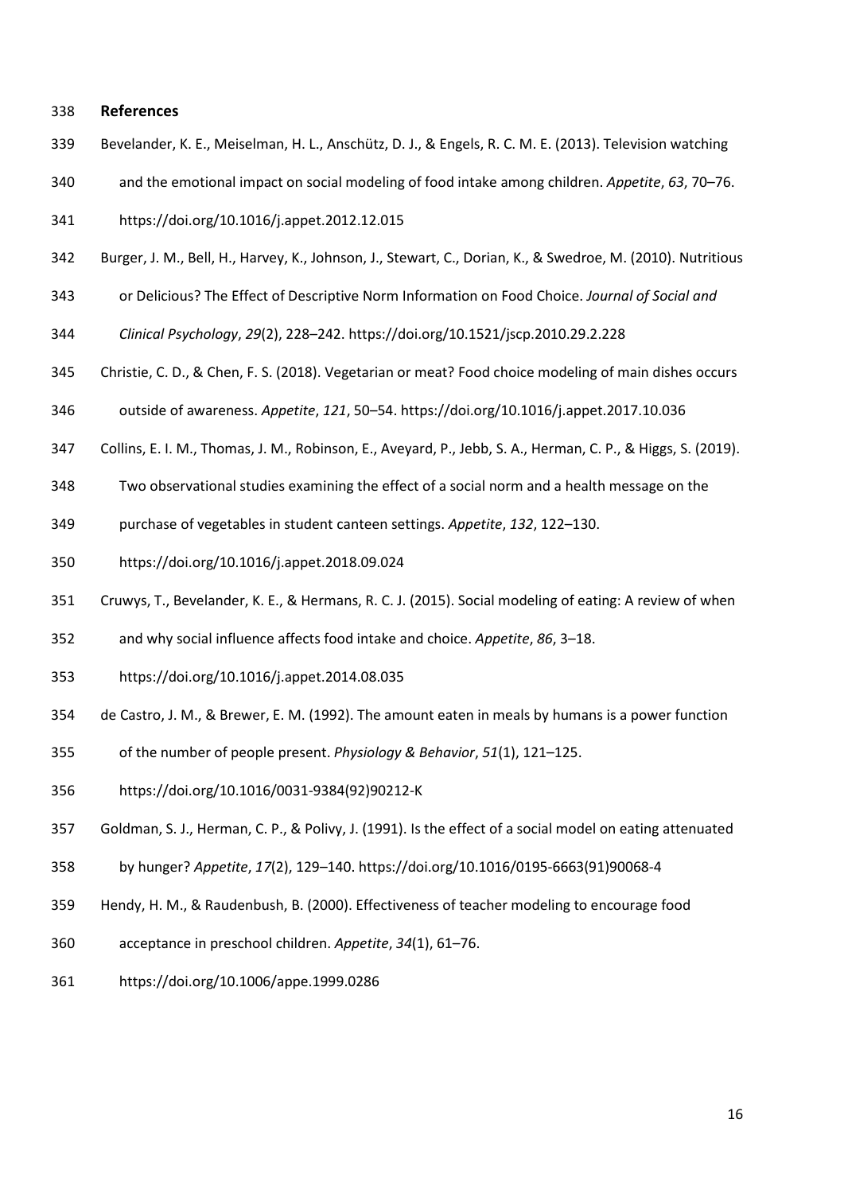#### **References**

- Bevelander, K. E., Meiselman, H. L., Anschütz, D. J., & Engels, R. C. M. E. (2013). Television watching
- and the emotional impact on social modeling of food intake among children. *Appetite*, *63*, 70–76.
- https://doi.org/10.1016/j.appet.2012.12.015
- Burger, J. M., Bell, H., Harvey, K., Johnson, J., Stewart, C., Dorian, K., & Swedroe, M. (2010). Nutritious
- or Delicious? The Effect of Descriptive Norm Information on Food Choice. *Journal of Social and*
- *Clinical Psychology*, *29*(2), 228–242. https://doi.org/10.1521/jscp.2010.29.2.228
- Christie, C. D., & Chen, F. S. (2018). Vegetarian or meat? Food choice modeling of main dishes occurs
- outside of awareness. *Appetite*, *121*, 50–54. https://doi.org/10.1016/j.appet.2017.10.036
- Collins, E. I. M., Thomas, J. M., Robinson, E., Aveyard, P., Jebb, S. A., Herman, C. P., & Higgs, S. (2019).
- Two observational studies examining the effect of a social norm and a health message on the
- purchase of vegetables in student canteen settings. *Appetite*, *132*, 122–130.
- https://doi.org/10.1016/j.appet.2018.09.024
- Cruwys, T., Bevelander, K. E., & Hermans, R. C. J. (2015). Social modeling of eating: A review of when
- and why social influence affects food intake and choice. *Appetite*, *86*, 3–18.
- https://doi.org/10.1016/j.appet.2014.08.035
- de Castro, J. M., & Brewer, E. M. (1992). The amount eaten in meals by humans is a power function
- of the number of people present. *Physiology & Behavior*, *51*(1), 121–125.
- https://doi.org/10.1016/0031-9384(92)90212-K
- Goldman, S. J., Herman, C. P., & Polivy, J. (1991). Is the effect of a social model on eating attenuated
- by hunger? *Appetite*, *17*(2), 129–140. https://doi.org/10.1016/0195-6663(91)90068-4
- Hendy, H. M., & Raudenbush, B. (2000). Effectiveness of teacher modeling to encourage food
- acceptance in preschool children. *Appetite*, *34*(1), 61–76.
- https://doi.org/10.1006/appe.1999.0286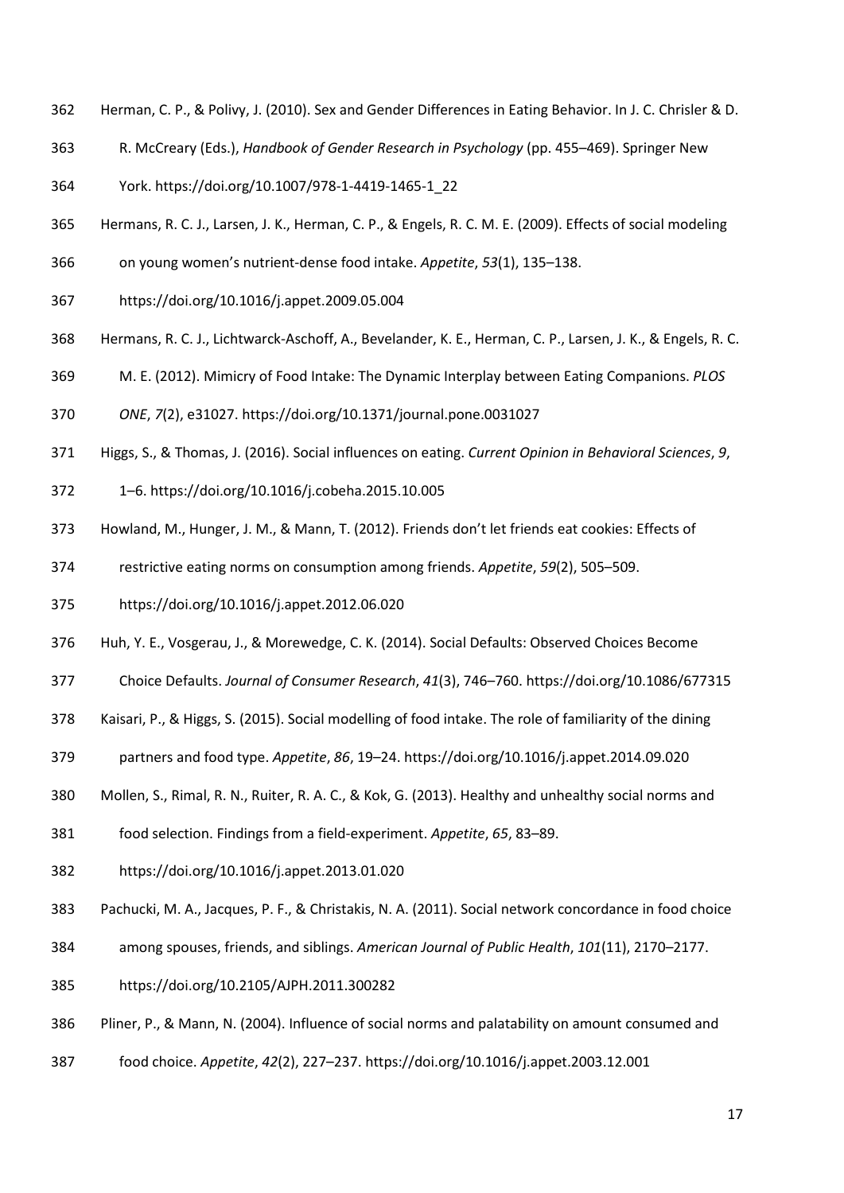- Herman, C. P., & Polivy, J. (2010). Sex and Gender Differences in Eating Behavior. In J. C. Chrisler & D.
- R. McCreary (Eds.), *Handbook of Gender Research in Psychology* (pp. 455–469). Springer New
- York. https://doi.org/10.1007/978-1-4419-1465-1\_22
- Hermans, R. C. J., Larsen, J. K., Herman, C. P., & Engels, R. C. M. E. (2009). Effects of social modeling
- on young women's nutrient-dense food intake. *Appetite*, *53*(1), 135–138.
- https://doi.org/10.1016/j.appet.2009.05.004
- Hermans, R. C. J., Lichtwarck-Aschoff, A., Bevelander, K. E., Herman, C. P., Larsen, J. K., & Engels, R. C.
- M. E. (2012). Mimicry of Food Intake: The Dynamic Interplay between Eating Companions. *PLOS*
- *ONE*, *7*(2), e31027. https://doi.org/10.1371/journal.pone.0031027
- Higgs, S., & Thomas, J. (2016). Social influences on eating. *Current Opinion in Behavioral Sciences*, *9*,
- 1–6. https://doi.org/10.1016/j.cobeha.2015.10.005
- Howland, M., Hunger, J. M., & Mann, T. (2012). Friends don't let friends eat cookies: Effects of
- restrictive eating norms on consumption among friends. *Appetite*, *59*(2), 505–509.
- https://doi.org/10.1016/j.appet.2012.06.020
- Huh, Y. E., Vosgerau, J., & Morewedge, C. K. (2014). Social Defaults: Observed Choices Become
- Choice Defaults. *Journal of Consumer Research*, *41*(3), 746–760. https://doi.org/10.1086/677315
- Kaisari, P., & Higgs, S. (2015). Social modelling of food intake. The role of familiarity of the dining
- partners and food type. *Appetite*, *86*, 19–24. https://doi.org/10.1016/j.appet.2014.09.020
- Mollen, S., Rimal, R. N., Ruiter, R. A. C., & Kok, G. (2013). Healthy and unhealthy social norms and
- food selection. Findings from a field-experiment. *Appetite*, *65*, 83–89.
- https://doi.org/10.1016/j.appet.2013.01.020
- Pachucki, M. A., Jacques, P. F., & Christakis, N. A. (2011). Social network concordance in food choice
- among spouses, friends, and siblings. *American Journal of Public Health*, *101*(11), 2170–2177.
- https://doi.org/10.2105/AJPH.2011.300282
- Pliner, P., & Mann, N. (2004). Influence of social norms and palatability on amount consumed and
- food choice. *Appetite*, *42*(2), 227–237. https://doi.org/10.1016/j.appet.2003.12.001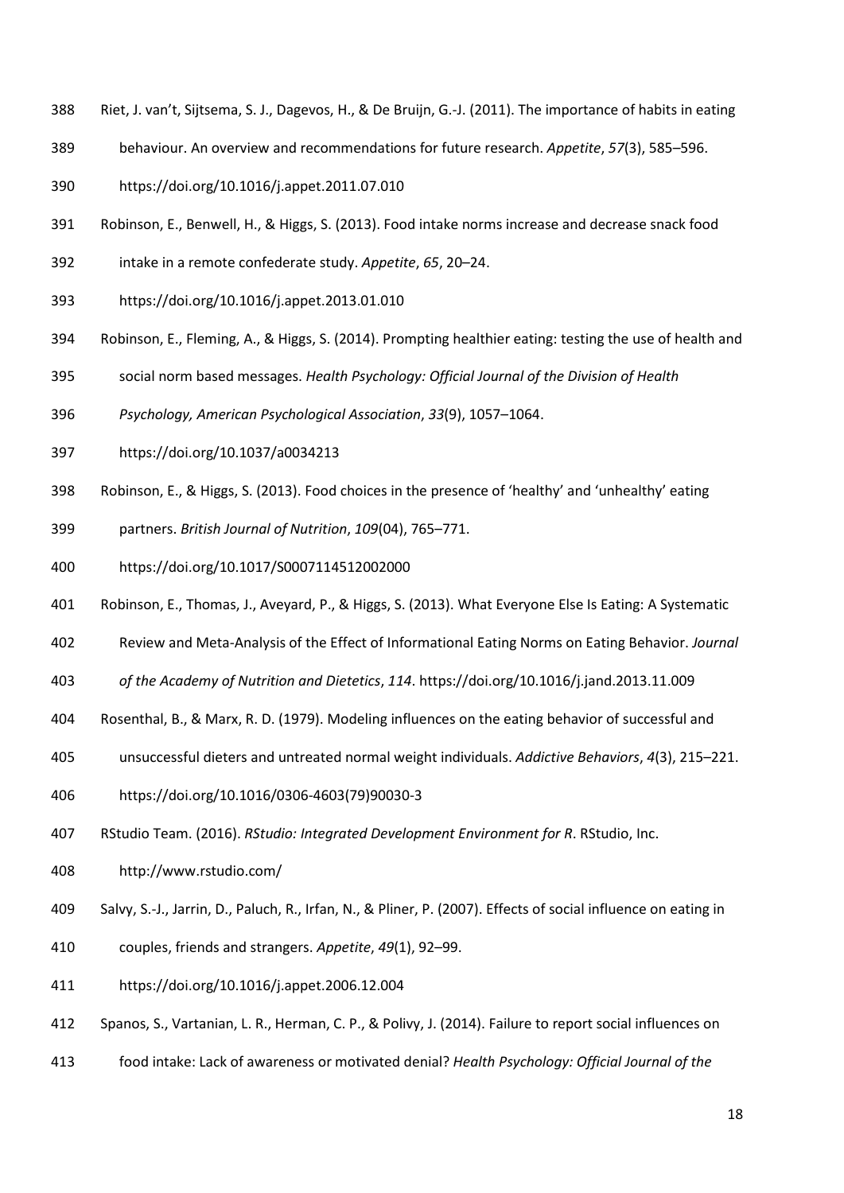- Riet, J. van't, Sijtsema, S. J., Dagevos, H., & De Bruijn, G.-J. (2011). The importance of habits in eating
- behaviour. An overview and recommendations for future research. *Appetite*, *57*(3), 585–596.

https://doi.org/10.1016/j.appet.2011.07.010

- Robinson, E., Benwell, H., & Higgs, S. (2013). Food intake norms increase and decrease snack food
- intake in a remote confederate study. *Appetite*, *65*, 20–24.
- https://doi.org/10.1016/j.appet.2013.01.010
- Robinson, E., Fleming, A., & Higgs, S. (2014). Prompting healthier eating: testing the use of health and
- social norm based messages. *Health Psychology: Official Journal of the Division of Health*
- *Psychology, American Psychological Association*, *33*(9), 1057–1064.
- https://doi.org/10.1037/a0034213
- Robinson, E., & Higgs, S. (2013). Food choices in the presence of 'healthy' and 'unhealthy' eating
- partners. *British Journal of Nutrition*, *109*(04), 765–771.
- https://doi.org/10.1017/S0007114512002000
- Robinson, E., Thomas, J., Aveyard, P., & Higgs, S. (2013). What Everyone Else Is Eating: A Systematic
- Review and Meta-Analysis of the Effect of Informational Eating Norms on Eating Behavior. *Journal*
- *of the Academy of Nutrition and Dietetics*, *114*. https://doi.org/10.1016/j.jand.2013.11.009
- Rosenthal, B., & Marx, R. D. (1979). Modeling influences on the eating behavior of successful and
- unsuccessful dieters and untreated normal weight individuals. *Addictive Behaviors*, *4*(3), 215–221.
- https://doi.org/10.1016/0306-4603(79)90030-3
- RStudio Team. (2016). *RStudio: Integrated Development Environment for R*. RStudio, Inc.
- http://www.rstudio.com/
- Salvy, S.-J., Jarrin, D., Paluch, R., Irfan, N., & Pliner, P. (2007). Effects of social influence on eating in
- couples, friends and strangers. *Appetite*, *49*(1), 92–99.
- https://doi.org/10.1016/j.appet.2006.12.004
- Spanos, S., Vartanian, L. R., Herman, C. P., & Polivy, J. (2014). Failure to report social influences on
- food intake: Lack of awareness or motivated denial? *Health Psychology: Official Journal of the*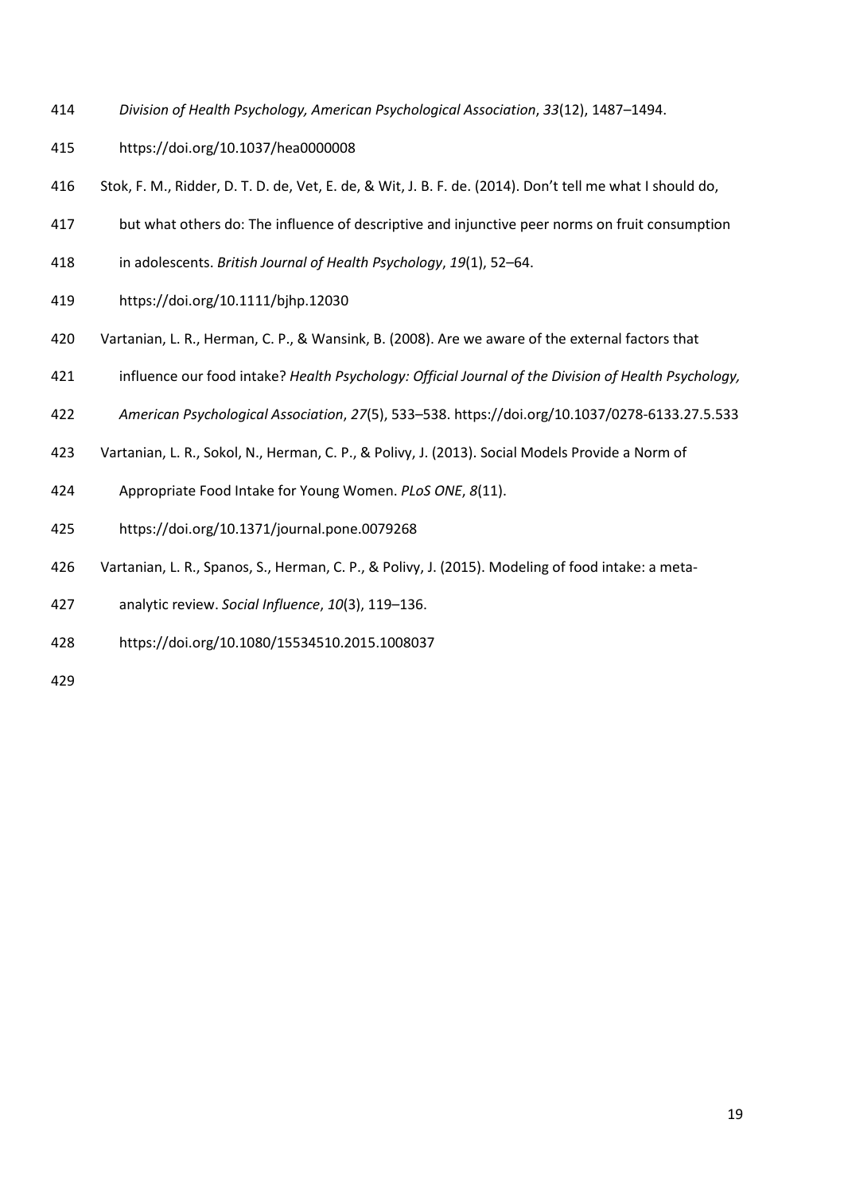- *Division of Health Psychology, American Psychological Association*, *33*(12), 1487–1494.
- https://doi.org/10.1037/hea0000008
- Stok, F. M., Ridder, D. T. D. de, Vet, E. de, & Wit, J. B. F. de. (2014). Don't tell me what I should do,
- but what others do: The influence of descriptive and injunctive peer norms on fruit consumption
- in adolescents. *British Journal of Health Psychology*, *19*(1), 52–64.
- https://doi.org/10.1111/bjhp.12030
- Vartanian, L. R., Herman, C. P., & Wansink, B. (2008). Are we aware of the external factors that
- influence our food intake? *Health Psychology: Official Journal of the Division of Health Psychology,*
- *American Psychological Association*, *27*(5), 533–538. https://doi.org/10.1037/0278-6133.27.5.533
- Vartanian, L. R., Sokol, N., Herman, C. P., & Polivy, J. (2013). Social Models Provide a Norm of
- Appropriate Food Intake for Young Women. *PLoS ONE*, *8*(11).
- https://doi.org/10.1371/journal.pone.0079268
- Vartanian, L. R., Spanos, S., Herman, C. P., & Polivy, J. (2015). Modeling of food intake: a meta-
- analytic review. *Social Influence*, *10*(3), 119–136.
- https://doi.org/10.1080/15534510.2015.1008037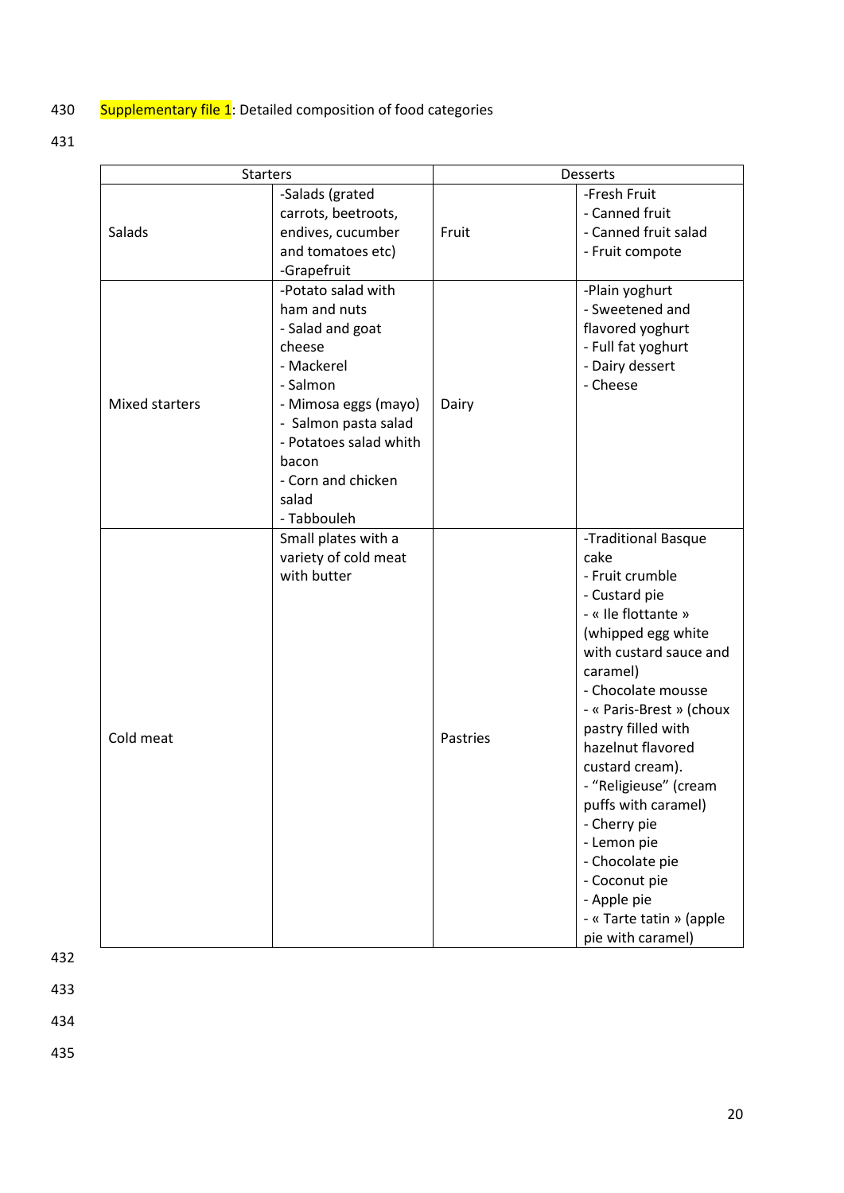# 430 Supplementary file 1: Detailed composition of food categories

431

| <b>Starters</b> |                                                                                                                                                                                                                             | Desserts |                                                                                                                                                                                                                                                                                                                                                                                                                                                       |  |
|-----------------|-----------------------------------------------------------------------------------------------------------------------------------------------------------------------------------------------------------------------------|----------|-------------------------------------------------------------------------------------------------------------------------------------------------------------------------------------------------------------------------------------------------------------------------------------------------------------------------------------------------------------------------------------------------------------------------------------------------------|--|
| Salads          | -Salads (grated<br>carrots, beetroots,<br>endives, cucumber<br>and tomatoes etc)<br>-Grapefruit                                                                                                                             | Fruit    | -Fresh Fruit<br>- Canned fruit<br>- Canned fruit salad<br>- Fruit compote                                                                                                                                                                                                                                                                                                                                                                             |  |
| Mixed starters  | -Potato salad with<br>ham and nuts<br>- Salad and goat<br>cheese<br>- Mackerel<br>- Salmon<br>- Mimosa eggs (mayo)<br>- Salmon pasta salad<br>- Potatoes salad whith<br>bacon<br>- Corn and chicken<br>salad<br>- Tabbouleh | Dairy    | -Plain yoghurt<br>- Sweetened and<br>flavored yoghurt<br>- Full fat yoghurt<br>- Dairy dessert<br>- Cheese                                                                                                                                                                                                                                                                                                                                            |  |
| Cold meat       | Small plates with a<br>variety of cold meat<br>with butter                                                                                                                                                                  | Pastries | -Traditional Basque<br>cake<br>- Fruit crumble<br>- Custard pie<br>- « Ile flottante »<br>(whipped egg white<br>with custard sauce and<br>caramel)<br>- Chocolate mousse<br>- « Paris-Brest » (choux<br>pastry filled with<br>hazelnut flavored<br>custard cream).<br>- "Religieuse" (cream<br>puffs with caramel)<br>- Cherry pie<br>- Lemon pie<br>- Chocolate pie<br>- Coconut pie<br>- Apple pie<br>- « Tarte tatin » (apple<br>pie with caramel) |  |

432

433

434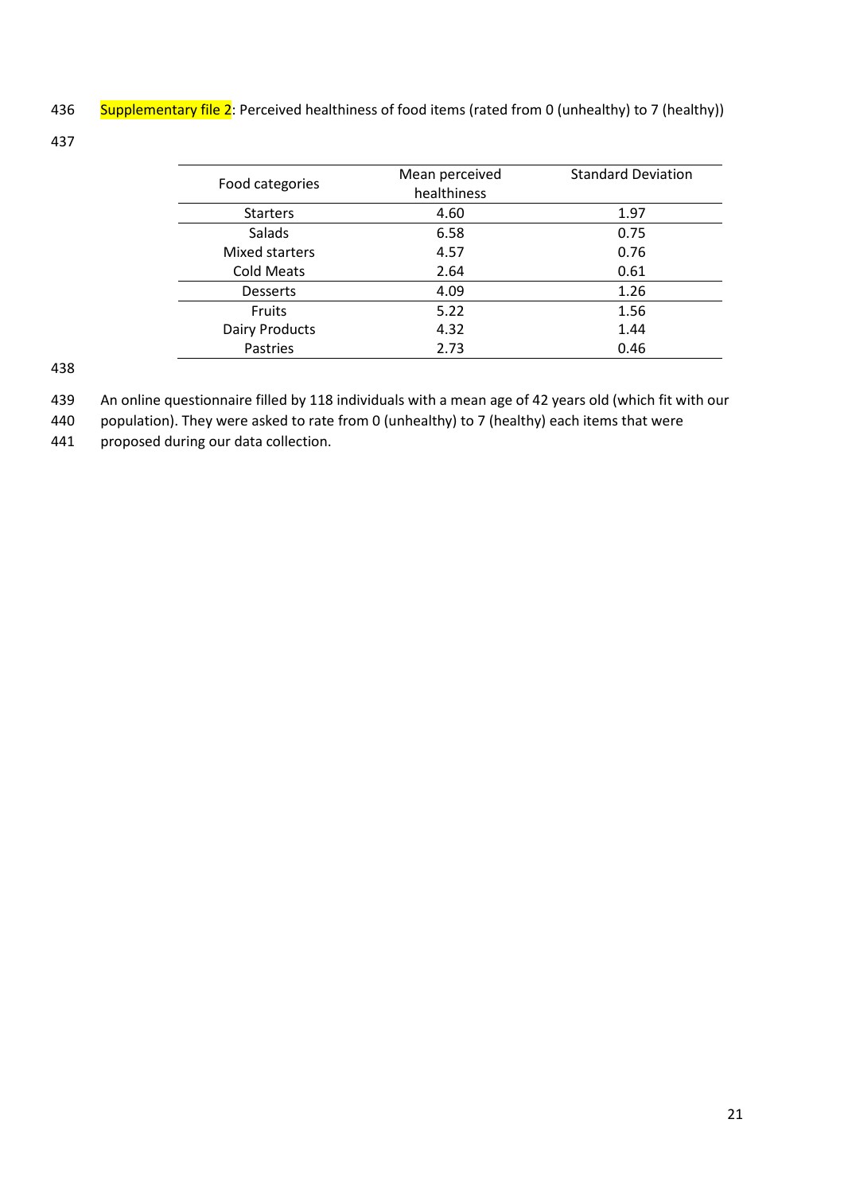436 Supplementary file 2: Perceived healthiness of food items (rated from 0 (unhealthy) to 7 (healthy))

437

|                       | Mean perceived | <b>Standard Deviation</b> |
|-----------------------|----------------|---------------------------|
| Food categories       | healthiness    |                           |
| <b>Starters</b>       | 4.60           | 1.97                      |
| <b>Salads</b>         | 6.58           | 0.75                      |
| Mixed starters        | 4.57           | 0.76                      |
| Cold Meats            | 2.64           | 0.61                      |
| <b>Desserts</b>       | 4.09           | 1.26                      |
| <b>Fruits</b>         | 5.22           | 1.56                      |
| <b>Dairy Products</b> | 4.32           | 1.44                      |
| Pastries              | 2.73           | 0.46                      |

- 439 An online questionnaire filled by 118 individuals with a mean age of 42 years old (which fit with our
- 440 population). They were asked to rate from 0 (unhealthy) to 7 (healthy) each items that were
- 441 proposed during our data collection.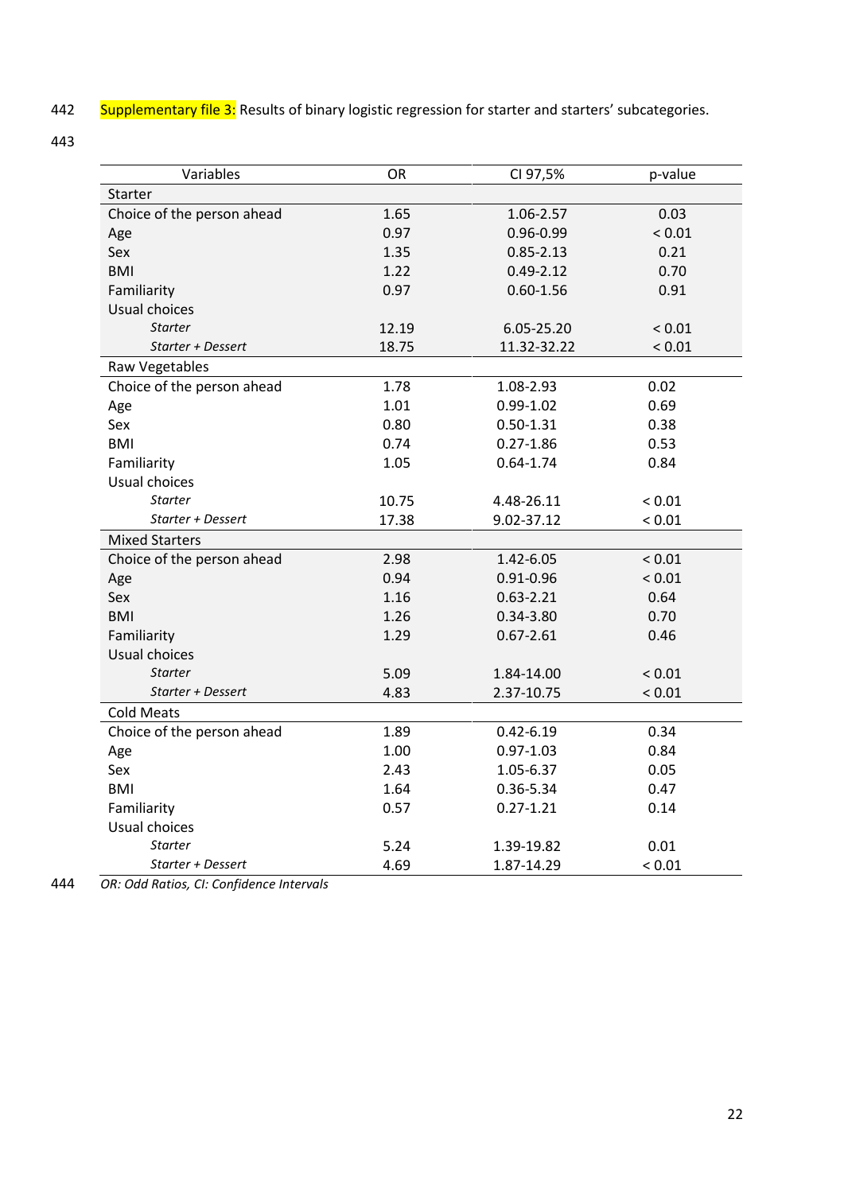442 Supplementary file 3: Results of binary logistic regression for starter and starters' subcategories.

443

| Variables                  | OR    | CI 97,5%      | p-value |
|----------------------------|-------|---------------|---------|
| Starter                    |       |               |         |
| Choice of the person ahead | 1.65  | 1.06-2.57     | 0.03    |
| Age                        | 0.97  | 0.96-0.99     | < 0.01  |
| Sex                        | 1.35  | $0.85 - 2.13$ | 0.21    |
| <b>BMI</b>                 | 1.22  | $0.49 - 2.12$ | 0.70    |
| Familiarity                | 0.97  | $0.60 - 1.56$ | 0.91    |
| Usual choices              |       |               |         |
| <b>Starter</b>             | 12.19 | 6.05-25.20    | < 0.01  |
| Starter + Dessert          | 18.75 | 11.32-32.22   | < 0.01  |
| Raw Vegetables             |       |               |         |
| Choice of the person ahead | 1.78  | 1.08-2.93     | 0.02    |
| Age                        | 1.01  | $0.99 - 1.02$ | 0.69    |
| Sex                        | 0.80  | $0.50 - 1.31$ | 0.38    |
| <b>BMI</b>                 | 0.74  | $0.27 - 1.86$ | 0.53    |
| Familiarity                | 1.05  | $0.64 - 1.74$ | 0.84    |
| Usual choices              |       |               |         |
| <b>Starter</b>             | 10.75 | 4.48-26.11    | < 0.01  |
| Starter + Dessert          | 17.38 | 9.02-37.12    | < 0.01  |
| <b>Mixed Starters</b>      |       |               |         |
| Choice of the person ahead | 2.98  | 1.42-6.05     | < 0.01  |
| Age                        | 0.94  | $0.91 - 0.96$ | < 0.01  |
| Sex                        | 1.16  | $0.63 - 2.21$ | 0.64    |
| <b>BMI</b>                 | 1.26  | $0.34 - 3.80$ | 0.70    |
| Familiarity                | 1.29  | $0.67 - 2.61$ | 0.46    |
| Usual choices              |       |               |         |
| <b>Starter</b>             | 5.09  | 1.84-14.00    | < 0.01  |
| Starter + Dessert          | 4.83  | 2.37-10.75    | < 0.01  |
| <b>Cold Meats</b>          |       |               |         |
| Choice of the person ahead | 1.89  | $0.42 - 6.19$ | 0.34    |
| Age                        | 1.00  | $0.97 - 1.03$ | 0.84    |
| Sex                        | 2.43  | 1.05-6.37     | 0.05    |
| <b>BMI</b>                 | 1.64  | 0.36-5.34     | 0.47    |
| Familiarity                | 0.57  | $0.27 - 1.21$ | 0.14    |
| Usual choices              |       |               |         |
| <b>Starter</b>             | 5.24  | 1.39-19.82    | 0.01    |
| Starter + Dessert          | 4.69  | 1.87-14.29    | < 0.01  |

444 *OR: Odd Ratios, CI: Confidence Intervals*